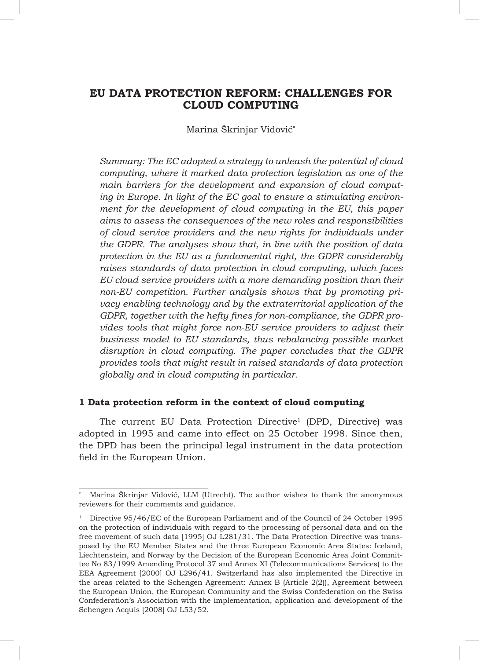# **EU DATA PROTECTION REFORM: CHALLENGES FOR CLOUD COMPUTING**

Marina Škrinjar Vidović**\***

*Summary: The EC adopted a strategy to unleash the potential of cloud computing, where it marked data protection legislation as one of the main barriers for the development and expansion of cloud computing in Europe. In light of the EC goal to ensure a stimulating environment for the development of cloud computing in the EU, this paper aims to assess the consequences of the new roles and responsibilities of cloud service providers and the new rights for individuals under the GDPR. The analyses show that, in line with the position of data protection in the EU as a fundamental right, the GDPR considerably raises standards of data protection in cloud computing, which faces EU cloud service providers with a more demanding position than their non-EU competition. Further analysis shows that by promoting privacy enabling technology and by the extraterritorial application of the GDPR, together with the hefty fines for non-compliance, the GDPR provides tools that might force non-EU service providers to adjust their business model to EU standards, thus rebalancing possible market disruption in cloud computing. The paper concludes that the GDPR provides tools that might result in raised standards of data protection globally and in cloud computing in particular.* 

### **1 Data protection reform in the context of cloud computing**

The current EU Data Protection Directive<sup>1</sup> (DPD, Directive) was adopted in 1995 and came into effect on 25 October 1998. Since then, the DPD has been the principal legal instrument in the data protection field in the European Union.

Marina Škrinjar Vidović, LLM (Utrecht). The author wishes to thank the anonymous reviewers for their comments and guidance.

<sup>&</sup>lt;sup>1</sup> Directive 95/46/EC of the European Parliament and of the Council of 24 October 1995 on the protection of individuals with regard to the processing of personal data and on the free movement of such data [1995] OJ L281/31. The Data Protection Directive was transposed by the EU Member States and the three European Economic Area States: Iceland, Liechtenstein, and Norway by the Decision of the European Economic Area Joint Committee No 83/1999 Amending Protocol 37 and Annex XI (Telecommunications Services) to the EEA Agreement [2000] OJ L296/41. Switzerland has also implemented the Directive in the areas related to the Schengen Agreement: Annex B (Article 2(2)), Agreement between the European Union, the European Community and the Swiss Confederation on the Swiss Confederation's Association with the implementation, application and development of the Schengen Acquis [2008] OJ L53/52.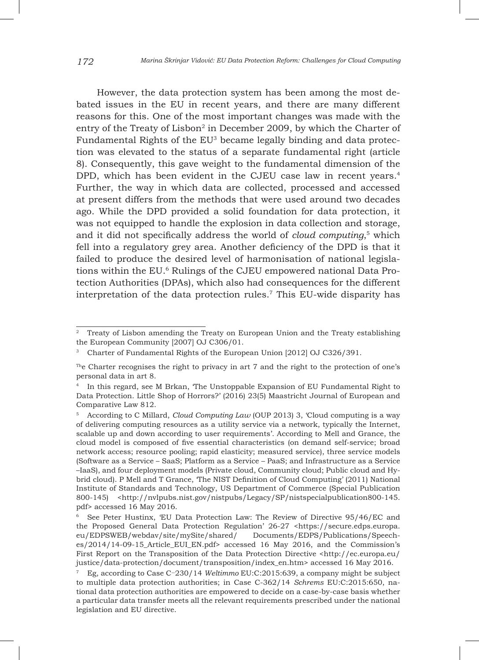However, the data protection system has been among the most debated issues in the EU in recent years, and there are many different reasons for this. One of the most important changes was made with the entry of the Treaty of Lisbon<sup>2</sup> in December 2009, by which the Charter of Fundamental Rights of the EU3 became legally binding and data protection was elevated to the status of a separate fundamental right (article 8). Consequently, this gave weight to the fundamental dimension of the DPD, which has been evident in the CJEU case law in recent years.<sup>4</sup> Further, the way in which data are collected, processed and accessed at present differs from the methods that were used around two decades ago. While the DPD provided a solid foundation for data protection, it was not equipped to handle the explosion in data collection and storage, and it did not specifically address the world of *cloud computing*, <sup>5</sup> which fell into a regulatory grey area. Another deficiency of the DPD is that it failed to produce the desired level of harmonisation of national legislations within the EU.6 Rulings of the CJEU empowered national Data Protection Authorities (DPAs), which also had consequences for the different interpretation of the data protection rules.7 This EU-wide disparity has

<sup>&</sup>lt;sup>2</sup> Treaty of Lisbon amending the Treaty on European Union and the Treaty establishing the European Community [2007] OJ C306/01.

<sup>&</sup>lt;sup>3</sup> Charter of Fundamental Rights of the European Union [2012] OJ C326/391.

The Charter recognises the right to privacy in art  $7$  and the right to the protection of one's personal data in art 8.

<sup>4</sup> In this regard, see M Brkan, 'The Unstoppable Expansion of EU Fundamental Right to Data Protection. Little Shop of Horrors?' (2016) 23(5) Maastricht Journal of European and Comparative Law 812.

<sup>5</sup> According to C Millard, *Cloud Computing Law* (OUP 2013) 3, 'Cloud computing is a way of delivering computing resources as a utility service via a network, typically the Internet, scalable up and down according to user requirements'. According to Mell and Grance, the cloud model is composed of five essential characteristics (on demand self-service; broad network access; resource pooling; rapid elasticity; measured service), three service models (Software as a Service – SaaS; Platform as a Service – PaaS; and Infrastructure as a Service –IaaS), and four deployment models (Private cloud, Community cloud; Public cloud and Hybrid cloud). P Mell and T Grance, 'The NIST Definition of Cloud Computing' (2011) National Institute of Standards and Technology, US Department of Commerce (Special Publication 800-145) <http://nvlpubs.nist.gov/nistpubs/Legacy/SP/nistspecialpublication800-145. pdf> accessed 16 May 2016.

<sup>6</sup> See Peter Hustinx, 'EU Data Protection Law: The Review of Directive 95/46/EC and the Proposed General Data Protection Regulation' 26-27 <https://secure.edps.europa. eu/EDPSWEB/webdav/site/mySite/shared/ Documents/EDPS/Publications/Speeches/2014/14-09-15\_Article\_EUI\_EN.pdf> accessed 16 May 2016, and the Commission's First Report on the Transposition of the Data Protection Directive <http://ec.europa.eu/ justice/data-protection/document/transposition/index\_en.htm> accessed 16 May 2016.

<sup>7</sup> Eg, according to Case C‑230/14 *Weltimmo* EU:C:2015:639, a company might be subject to multiple data protection authorities; in Case C-362/14 *Schrems* EU:C:2015:650, national data protection authorities are empowered to decide on a case-by-case basis whether a particular data transfer meets all the relevant requirements prescribed under the national legislation and EU directive.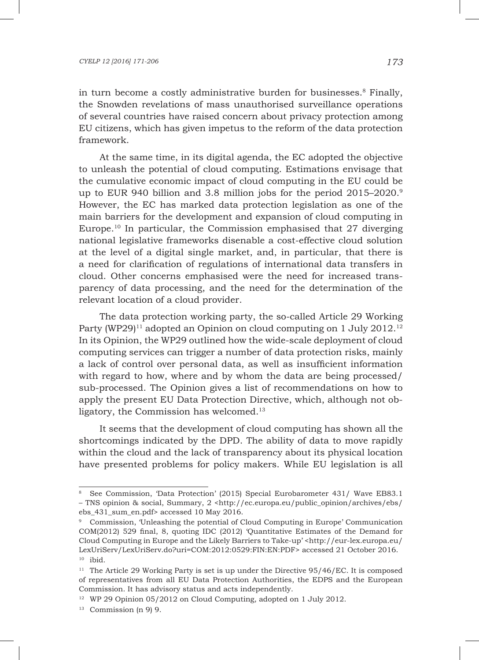in turn become a costly administrative burden for businesses.8 Finally, the Snowden revelations of mass unauthorised surveillance operations of several countries have raised concern about privacy protection among EU citizens, which has given impetus to the reform of the data protection framework.

At the same time, in its digital agenda, the EC adopted the objective to unleash the potential of cloud computing. Estimations envisage that the cumulative economic impact of cloud computing in the EU could be up to EUR 940 billion and 3.8 million jobs for the period 2015–2020.<sup>9</sup> However, the EC has marked data protection legislation as one of the main barriers for the development and expansion of cloud computing in Europe.<sup>10</sup> In particular, the Commission emphasised that  $27$  diverging national legislative frameworks disenable a cost-effective cloud solution at the level of a digital single market, and, in particular, that there is a need for clarification of regulations of international data transfers in cloud. Other concerns emphasised were the need for increased transparency of data processing, and the need for the determination of the relevant location of a cloud provider.

The data protection working party, the so-called Article 29 Working Party (WP29)<sup>11</sup> adopted an Opinion on cloud computing on 1 July 2012.<sup>12</sup> In its Opinion, the WP29 outlined how the wide-scale deployment of cloud computing services can trigger a number of data protection risks, mainly a lack of control over personal data, as well as insufficient information with regard to how, where and by whom the data are being processed/ sub-processed. The Opinion gives a list of recommendations on how to apply the present EU Data Protection Directive, which, although not obligatory, the Commission has welcomed.<sup>13</sup>

It seems that the development of cloud computing has shown all the shortcomings indicated by the DPD. The ability of data to move rapidly within the cloud and the lack of transparency about its physical location have presented problems for policy makers. While EU legislation is all

<sup>&</sup>lt;sup>8</sup> See Commission, 'Data Protection' (2015) Special Eurobarometer 431/ Wave EB83.1 – TNS opinion & social, Summary, 2 <http://ec.europa.eu/public\_opinion/archives/ebs/ ebs 431 sum en.pdf> accessed 10 May 2016.

<sup>9</sup> Commission, 'Unleashing the potential of Cloud Computing in Europe' Communication COM(2012) 529 final, 8, quoting IDC (2012) 'Quantitative Estimates of the Demand for Cloud Computing in Europe and the Likely Barriers to Take-up' <http://eur-lex.europa.eu/ LexUriServ/LexUriServ.do?uri=COM:2012:0529:FIN:EN:PDF> accessed 21 October 2016.  $10$  ibid.

<sup>&</sup>lt;sup>11</sup> The Article 29 Working Party is set is up under the Directive  $95/46/EC$ . It is composed of representatives from all EU Data Protection Authorities, the EDPS and the European Commission. It has advisory status and acts independently.

<sup>&</sup>lt;sup>12</sup> WP 29 Opinion 05/2012 on Cloud Computing, adopted on 1 July 2012.

 $13$  Commission (n 9) 9.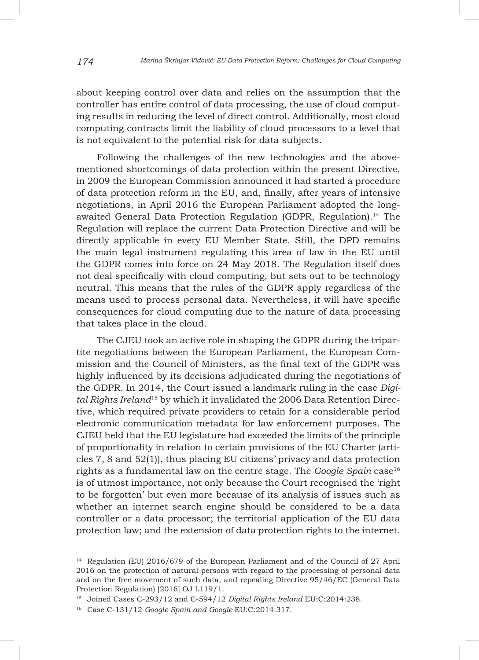about keeping control over data and relies on the assumption that the controller has entire control of data processing, the use of cloud computing results in reducing the level of direct control. Additionally, most cloud computing contracts limit the liability of cloud processors to a level that is not equivalent to the potential risk for data subjects.

Following the challenges of the new technologies and the abovementioned shortcomings of data protection within the present Directive, in 2009 the European Commission announced it had started a procedure of data protection reform in the EU, and, finally, after years of intensive negotiations, in April 2016 the European Parliament adopted the longawaited General Data Protection Regulation (GDPR, Regulation).14 The Regulation will replace the current Data Protection Directive and will be directly applicable in every EU Member State. Still, the DPD remains the main legal instrument regulating this area of law in the EU until the GDPR comes into force on 24 May 2018. The Regulation itself does not deal specifically with cloud computing, but sets out to be technology neutral. This means that the rules of the GDPR apply regardless of the means used to process personal data. Nevertheless, it will have specific consequences for cloud computing due to the nature of data processing that takes place in the cloud.

The CJEU took an active role in shaping the GDPR during the tripartite negotiations between the European Parliament, the European Commission and the Council of Ministers, as the final text of the GDPR was highly influenced by its decisions adjudicated during the negotiation*s* of the GDPR. In 2014, the Court issued a landmark ruling in the case *Digital Rights Ireland*15 by which it invalidated the 2006 Data Retention Directive, which required private providers to retain for a considerable period electronic communication metadata for law enforcement purposes. The CJEU held that the EU legislature had exceeded the limits of the principle of proportionality in relation to certain provisions of the EU Charter (articles 7, 8 and 52(1)), thus placing EU citizens' privacy and data protection rights as a fundamental law on the centre stage. The *Google Spain* case<sup>16</sup> is of utmost importance, not only because the Court recognised the 'right to be forgotten' but even more because of its analysis of issues such as whether an internet search engine should be considered to be a data controller or a data processor; the territorial application of the EU data protection law; and the extension of data protection rights to the internet.

<sup>14</sup> Regulation (EU) 2016/679 of the European Parliament and of the Council of 27 April 2016 on the protection of natural persons with regard to the processing of personal data and on the free movement of such data, and repealing Directive 95/46/EC (General Data Protection Regulation) [2016] OJ L119/1.

<sup>15</sup> Joined Cases C-293/12 and C-594/12 *Digital Rights Ireland* EU:C:2014:238.

<sup>16</sup> Case C-131/12 *Google Spain and Google* EU:C:2014:317.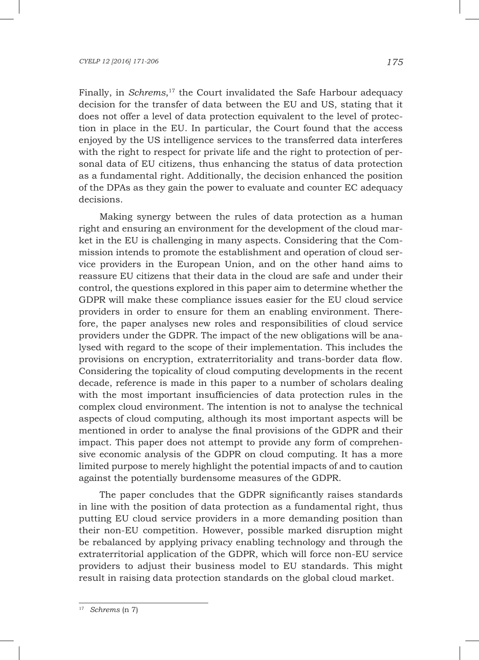#### *CYELP 12 [2016] 171-206 175*

Finally, in *Schrems*, 17 the Court invalidated the Safe Harbour adequacy decision for the transfer of data between the EU and US, stating that it does not offer a level of data protection equivalent to the level of protection in place in the EU. In particular, the Court found that the access enjoyed by the US intelligence services to the transferred data interferes with the right to respect for private life and the right to protection of personal data of EU citizens, thus enhancing the status of data protection as a fundamental right. Additionally, the decision enhanced the position of the DPAs as they gain the power to evaluate and counter EC adequacy decisions.

Making synergy between the rules of data protection as a human right and ensuring an environment for the development of the cloud market in the EU is challenging in many aspects. Considering that the Commission intends to promote the establishment and operation of cloud service providers in the European Union, and on the other hand aims to reassure EU citizens that their data in the cloud are safe and under their control, the questions explored in this paper aim to determine whether the GDPR will make these compliance issues easier for the EU cloud service providers in order to ensure for them an enabling environment. Therefore, the paper analyses new roles and responsibilities of cloud service providers under the GDPR. The impact of the new obligations will be analysed with regard to the scope of their implementation. This includes the provisions on encryption, extraterritoriality and trans-border data flow. Considering the topicality of cloud computing developments in the recent decade, reference is made in this paper to a number of scholars dealing with the most important insufficiencies of data protection rules in the complex cloud environment. The intention is not to analyse the technical aspects of cloud computing, although its most important aspects will be mentioned in order to analyse the final provisions of the GDPR and their impact. This paper does not attempt to provide any form of comprehensive economic analysis of the GDPR on cloud computing. It has a more limited purpose to merely highlight the potential impacts of and to caution against the potentially burdensome measures of the GDPR.

The paper concludes that the GDPR significantly raises standards in line with the position of data protection as a fundamental right, thus putting EU cloud service providers in a more demanding position than their non-EU competition. However, possible marked disruption might be rebalanced by applying privacy enabling technology and through the extraterritorial application of the GDPR, which will force non-EU service providers to adjust their business model to EU standards. This might result in raising data protection standards on the global cloud market.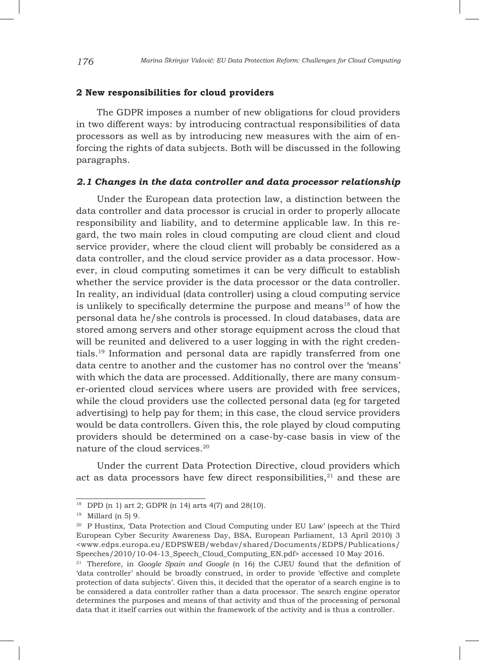#### **2 New responsibilities for cloud providers**

The GDPR imposes a number of new obligations for cloud providers in two different ways: by introducing contractual responsibilities of data processors as well as by introducing new measures with the aim of enforcing the rights of data subjects. Both will be discussed in the following paragraphs.

### *2.1 Changes in the data controller and data processor relationship*

Under the European data protection law, a distinction between the data controller and data processor is crucial in order to properly allocate responsibility and liability, and to determine applicable law. In this regard, the two main roles in cloud computing are cloud client and cloud service provider, where the cloud client will probably be considered as a data controller, and the cloud service provider as a data processor. However, in cloud computing sometimes it can be very difficult to establish whether the service provider is the data processor or the data controller. In reality, an individual (data controller) using a cloud computing service is unlikely to specifically determine the purpose and means $18$  of how the personal data he/she controls is processed. In cloud databases, data are stored among servers and other storage equipment across the cloud that will be reunited and delivered to a user logging in with the right credentials.19 Information and personal data are rapidly transferred from one data centre to another and the customer has no control over the 'means' with which the data are processed. Additionally, there are many consumer-oriented cloud services where users are provided with free services, while the cloud providers use the collected personal data (eg for targeted advertising) to help pay for them; in this case, the cloud service providers would be data controllers. Given this, the role played by cloud computing providers should be determined on a case-by-case basis in view of the nature of the cloud services.20

Under the current Data Protection Directive, cloud providers which act as data processors have few direct responsibilities, $21$  and these are

<sup>18</sup> DPD (n 1) art 2; GDPR (n 14) arts 4(7) and 28(10).

<sup>19</sup> Millard (n 5) 9.

<sup>20</sup> P Hustinx, 'Data Protection and Cloud Computing under EU Law' (speech at the Third European Cyber Security Awareness Day, BSA, European Parliament, 13 April 2010) 3 <www.edps.europa.eu/EDPSWEB/webdav/shared/Documents/EDPS/Publications/ Speeches/2010/10-04-13\_Speech\_Cloud\_Computing\_EN.pdf> accessed 10 May 2016.

<sup>21</sup> Therefore, in *Google Spain and Google* (n 16) the CJEU found that the definition of 'data controller' should be broadly construed, in order to provide 'effective and complete protection of data subjects'. Given this, it decided that the operator of a search engine is to be considered a data controller rather than a data processor. The search engine operator determines the purposes and means of that activity and thus of the processing of personal data that it itself carries out within the framework of the activity and is thus a controller.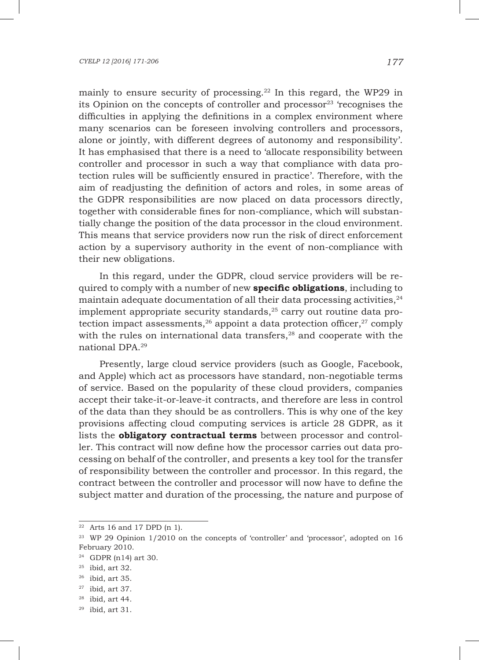mainly to ensure security of processing.<sup>22</sup> In this regard, the WP29 in its Opinion on the concepts of controller and processor $23$  'recognises the difficulties in applying the definitions in a complex environment where many scenarios can be foreseen involving controllers and processors, alone or jointly, with different degrees of autonomy and responsibility'. It has emphasised that there is a need to 'allocate responsibility between controller and processor in such a way that compliance with data protection rules will be sufficiently ensured in practice'. Therefore, with the aim of readjusting the definition of actors and roles, in some areas of the GDPR responsibilities are now placed on data processors directly, together with considerable fines for non-compliance, which will substantially change the position of the data processor in the cloud environment. This means that service providers now run the risk of direct enforcement action by a supervisory authority in the event of non-compliance with their new obligations.

In this regard, under the GDPR, cloud service providers will be required to comply with a number of new **specific obligations**, including to maintain adequate documentation of all their data processing activities, $24$ implement appropriate security standards, $2<sup>5</sup>$  carry out routine data protection impact assessments,  $26$  appoint a data protection officer,  $27$  comply with the rules on international data transfers,<sup>28</sup> and cooperate with the national DPA.29

Presently, large cloud service providers (such as Google, Facebook, and Apple) which act as processors have standard, non-negotiable terms of service. Based on the popularity of these cloud providers, companies accept their take-it-or-leave-it contracts, and therefore are less in control of the data than they should be as controllers. This is why one of the key provisions affecting cloud computing services is article 28 GDPR, as it lists the **obligatory contractual terms** between processor and controller. This contract will now define how the processor carries out data processing on behalf of the controller, and presents a key tool for the transfer of responsibility between the controller and processor. In this regard, the contract between the controller and processor will now have to define the subject matter and duration of the processing, the nature and purpose of

 $22$  Arts 16 and 17 DPD (n 1).

<sup>&</sup>lt;sup>23</sup> WP 29 Opinion 1/2010 on the concepts of 'controller' and 'processor', adopted on 16 February 2010.

<sup>24</sup> GDPR (n14) art 30.

 $25$  ibid, art 32.

<sup>26</sup> ibid, art 35.

<sup>27</sup> ibid, art 37.

 $28$  ibid, art 44.

 $29$  ibid, art 31.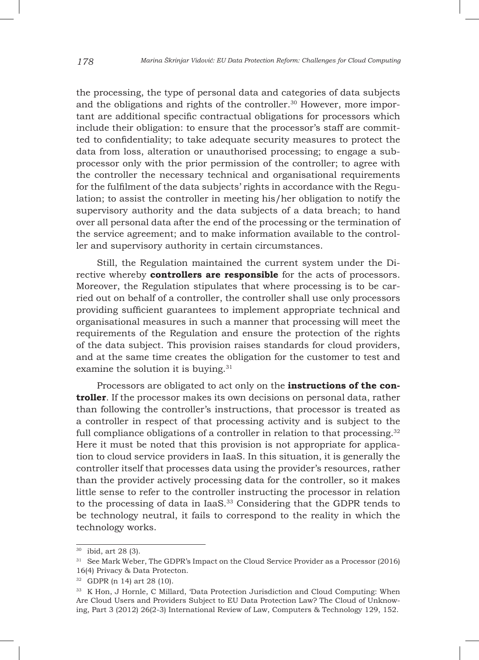the processing, the type of personal data and categories of data subjects and the obligations and rights of the controller.<sup>30</sup> However, more important are additional specific contractual obligations for processors which include their obligation: to ensure that the processor's staff are committed to confidentiality; to take adequate security measures to protect the data from loss, alteration or unauthorised processing; to engage a subprocessor only with the prior permission of the controller; to agree with the controller the necessary technical and organisational requirements for the fulfilment of the data subjects' rights in accordance with the Regulation; to assist the controller in meeting his/her obligation to notify the supervisory authority and the data subjects of a data breach; to hand over all personal data after the end of the processing or the termination of the service agreement; and to make information available to the controller and supervisory authority in certain circumstances.

Still, the Regulation maintained the current system under the Directive whereby **controllers are responsible** for the acts of processors. Moreover, the Regulation stipulates that where processing is to be carried out on behalf of a controller, the controller shall use only processors providing sufficient guarantees to implement appropriate technical and organisational measures in such a manner that processing will meet the requirements of the Regulation and ensure the protection of the rights of the data subject. This provision raises standards for cloud providers, and at the same time creates the obligation for the customer to test and examine the solution it is buying.<sup>31</sup>

Processors are obligated to act only on the **instructions of the controller**. If the processor makes its own decisions on personal data, rather than following the controller's instructions, that processor is treated as a controller in respect of that processing activity and is subject to the full compliance obligations of a controller in relation to that processing.<sup>32</sup> Here it must be noted that this provision is not appropriate for application to cloud service providers in IaaS. In this situation, it is generally the controller itself that processes data using the provider's resources, rather than the provider actively processing data for the controller, so it makes little sense to refer to the controller instructing the processor in relation to the processing of data in IaaS.33 Considering that the GDPR tends to be technology neutral, it fails to correspond to the reality in which the technology works.

<sup>30</sup> ibid, art 28 (3).

<sup>&</sup>lt;sup>31</sup> See Mark Weber, The GDPR's Impact on the Cloud Service Provider as a Processor (2016) 16(4) Privacy & Data Protecton.

<sup>32</sup> GDPR (n 14) art 28 (10).

<sup>33</sup> K Hon, J Hornle, C Millard, 'Data Protection Jurisdiction and Cloud Computing: When Are Cloud Users and Providers Subject to EU Data Protection Law? The Cloud of Unknowing, Part 3 (2012) 26(2-3) International Review of Law, Computers & Technology 129, 152.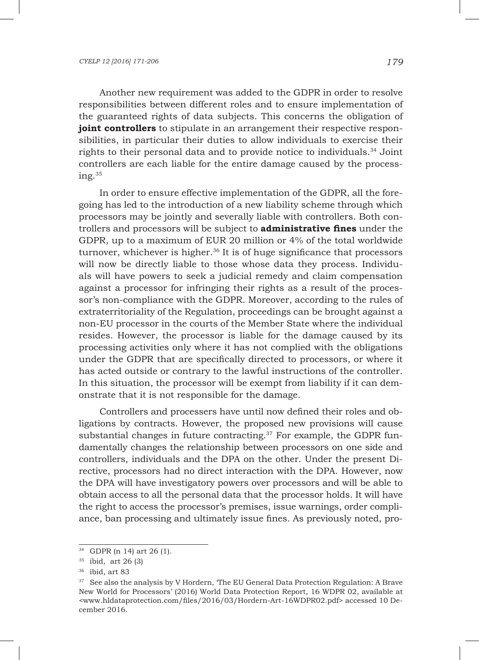Another new requirement was added to the GDPR in order to resolve responsibilities between different roles and to ensure implementation of the guaranteed rights of data subjects. This concerns the obligation of **joint controllers** to stipulate in an arrangement their respective responsibilities, in particular their duties to allow individuals to exercise their rights to their personal data and to provide notice to individuals.34 Joint controllers are each liable for the entire damage caused by the processing.35

In order to ensure effective implementation of the GDPR, all the foregoing has led to the introduction of a new liability scheme through which processors may be jointly and severally liable with controllers. Both controllers and processors will be subject to **administrative fines** under the GDPR, up to a maximum of EUR 20 million or 4% of the total worldwide turnover, whichever is higher.<sup>36</sup> It is of huge significance that processors will now be directly liable to those whose data they process. Individuals will have powers to seek a judicial remedy and claim compensation against a processor for infringing their rights as a result of the processor's non-compliance with the GDPR. Moreover, according to the rules of extraterritoriality of the Regulation, proceedings can be brought against a non-EU processor in the courts of the Member State where the individual resides. However, the processor is liable for the damage caused by its processing activities only where it has not complied with the obligations under the GDPR that are specifically directed to processors, or where it has acted outside or contrary to the lawful instructions of the controller. In this situation, the processor will be exempt from liability if it can demonstrate that it is not responsible for the damage.

Controllers and processers have until now defined their roles and obligations by contracts. However, the proposed new provisions will cause substantial changes in future contracting.<sup>37</sup> For example, the GDPR fundamentally changes the relationship between processors on one side and controllers, individuals and the DPA on the other. Under the present Directive, processors had no direct interaction with the DPA. However, now the DPA will have investigatory powers over processors and will be able to obtain access to all the personal data that the processor holds. It will have the right to access the processor's premises, issue warnings, order compliance, ban processing and ultimately issue fines. As previously noted, pro-

<sup>34</sup> GDPR (n 14) art 26 (1).

 $35$  ibid, art 26 (3)

<sup>36</sup> ibid, art 83

<sup>&</sup>lt;sup>37</sup> See also the analysis by V Hordern, 'The EU General Data Protection Regulation: A Brave New World for Processors' (2016) World Data Protection Report, 16 WDPR 02, available at <www.hldataprotection.com/files/2016/03/Hordern-Art-16WDPR02.pdf> accessed 10 December 2016.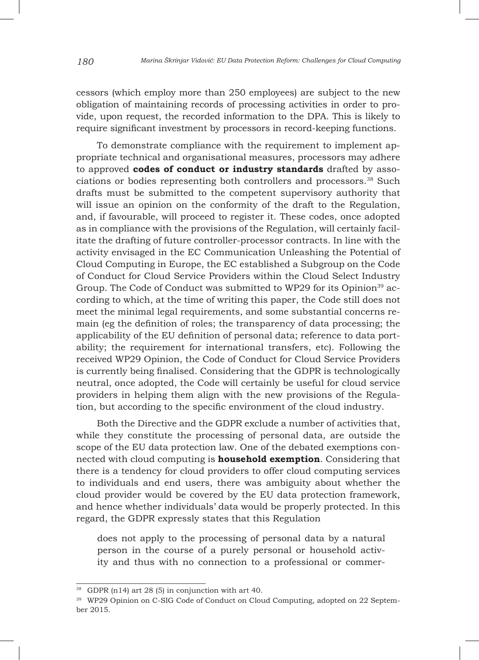cessors (which employ more than 250 employees) are subject to the new obligation of maintaining records of processing activities in order to provide, upon request, the recorded information to the DPA. This is likely to require significant investment by processors in record-keeping functions.

To demonstrate compliance with the requirement to implement appropriate technical and organisational measures, processors may adhere to approved **codes of conduct or industry standards** drafted by associations or bodies representing both controllers and processors.<sup>38</sup> Such drafts must be submitted to the competent supervisory authority that will issue an opinion on the conformity of the draft to the Regulation, and, if favourable, will proceed to register it. These codes, once adopted as in compliance with the provisions of the Regulation, will certainly facilitate the drafting of future controller-processor contracts. In line with the activity envisaged in the EC Communication Unleashing the Potential of Cloud Computing in Europe, the EC established a Subgroup on the Code of Conduct for Cloud Service Providers within the Cloud Select Industry Group. The Code of Conduct was submitted to WP29 for its Opinion<sup>39</sup> according to which, at the time of writing this paper, the Code still does not meet the minimal legal requirements, and some substantial concerns remain (eg the definition of roles; the transparency of data processing; the applicability of the EU definition of personal data; reference to data portability; the requirement for international transfers, etc). Following the received WP29 Opinion, the Code of Conduct for Cloud Service Providers is currently being finalised. Considering that the GDPR is technologically neutral, once adopted, the Code will certainly be useful for cloud service providers in helping them align with the new provisions of the Regulation, but according to the specific environment of the cloud industry.

Both the Directive and the GDPR exclude a number of activities that, while they constitute the processing of personal data, are outside the scope of the EU data protection law. One of the debated exemptions connected with cloud computing is **household exemption**. Considering that there is a tendency for cloud providers to offer cloud computing services to individuals and end users, there was ambiguity about whether the cloud provider would be covered by the EU data protection framework, and hence whether individuals' data would be properly protected. In this regard, the GDPR expressly states that this Regulation

does not apply to the processing of personal data by a natural person in the course of a purely personal or household activity and thus with no connection to a professional or commer-

<sup>38</sup> GDPR (n14) art 28 (5) in conjunction with art 40.

<sup>39</sup> WP29 Opinion on C-SIG Code of Conduct on Cloud Computing, adopted on 22 September 2015.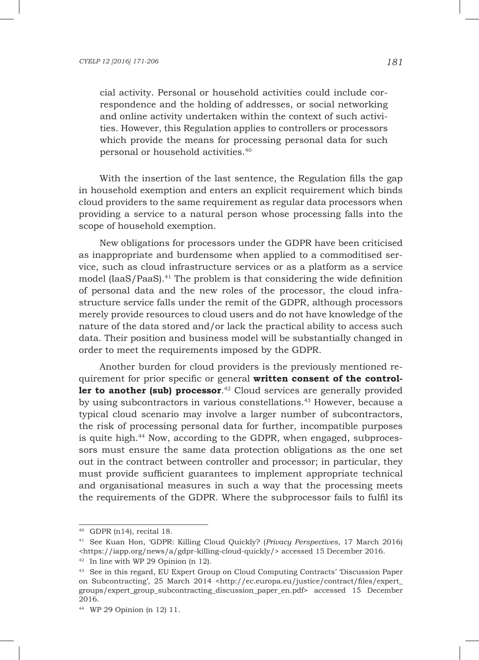cial activity. Personal or household activities could include correspondence and the holding of addresses, or social networking and online activity undertaken within the context of such activities. However, this Regulation applies to controllers or processors which provide the means for processing personal data for such personal or household activities.40

With the insertion of the last sentence, the Regulation fills the gap in household exemption and enters an explicit requirement which binds cloud providers to the same requirement as regular data processors when providing a service to a natural person whose processing falls into the scope of household exemption.

New obligations for processors under the GDPR have been criticised as inappropriate and burdensome when applied to a commoditised service, such as cloud infrastructure services or as a platform as a service model  $[IaaS/PaaS]$ .<sup>41</sup> The problem is that considering the wide definition of personal data and the new roles of the processor, the cloud infrastructure service falls under the remit of the GDPR, although processors merely provide resources to cloud users and do not have knowledge of the nature of the data stored and/or lack the practical ability to access such data. Their position and business model will be substantially changed in order to meet the requirements imposed by the GDPR.

Another burden for cloud providers is the previously mentioned requirement for prior specific or general **written consent of the controller to another (sub) processor**. <sup>42</sup> Cloud services are generally provided by using subcontractors in various constellations.<sup>43</sup> However, because a typical cloud scenario may involve a larger number of subcontractors, the risk of processing personal data for further, incompatible purposes is quite high.44 Now, according to the GDPR, when engaged, subprocessors must ensure the same data protection obligations as the one set out in the contract between controller and processor; in particular, they must provide sufficient guarantees to implement appropriate technical and organisational measures in such a way that the processing meets the requirements of the GDPR. Where the subprocessor fails to fulfil its

<sup>40</sup> GDPR (n14), recital 18.

<sup>41</sup> See Kuan Hon, 'GDPR: Killing Cloud Quickly? (*Privacy Perspectives*, 17 March 2016) <https://iapp.org/news/a/gdpr-killing-cloud-quickly/> accessed 15 December 2016.

<sup>42</sup> In line with WP 29 Opinion (n 12).

<sup>43</sup> See in this regard, EU Expert Group on Cloud Computing Contracts' 'Discussion Paper on Subcontracting', 25 March 2014 <http://ec.europa.eu/justice/contract/files/expert\_ groups/expert\_group\_subcontracting\_discussion\_paper\_en.pdf> accessed 15 December 2016.

<sup>44</sup> WP 29 Opinion (n 12) 11.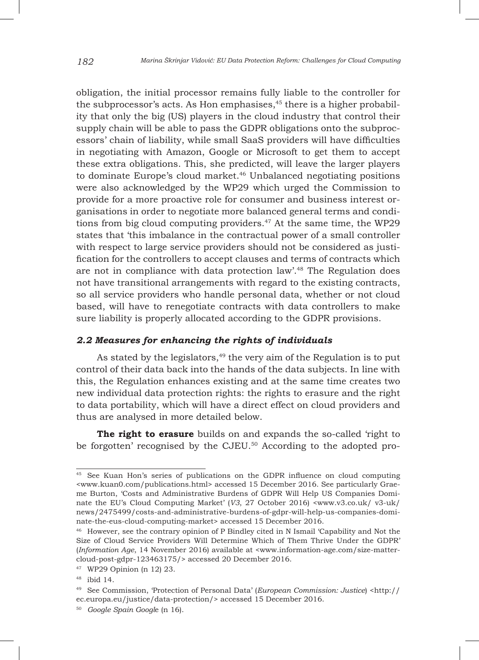obligation, the initial processor remains fully liable to the controller for the subprocessor's acts. As Hon emphasises, $45$  there is a higher probability that only the big (US) players in the cloud industry that control their supply chain will be able to pass the GDPR obligations onto the subprocessors' chain of liability, while small SaaS providers will have difficulties in negotiating with Amazon, Google or Microsoft to get them to accept these extra obligations. This, she predicted, will leave the larger players to dominate Europe's cloud market.<sup>46</sup> Unbalanced negotiating positions were also acknowledged by the WP29 which urged the Commission to provide for a more proactive role for consumer and business interest organisations in order to negotiate more balanced general terms and conditions from big cloud computing providers. $47$  At the same time, the WP29 states that 'this imbalance in the contractual power of a small controller with respect to large service providers should not be considered as justification for the controllers to accept clauses and terms of contracts which are not in compliance with data protection law'.48 The Regulation does not have transitional arrangements with regard to the existing contracts, so all service providers who handle personal data, whether or not cloud based, will have to renegotiate contracts with data controllers to make sure liability is properly allocated according to the GDPR provisions.

## *2.2 Measures for enhancing the rights of individuals*

As stated by the legislators, $49$  the very aim of the Regulation is to put control of their data back into the hands of the data subjects. In line with this, the Regulation enhances existing and at the same time creates two new individual data protection rights: the rights to erasure and the right to data portability, which will have a direct effect on cloud providers and thus are analysed in more detailed below.

The right to erasure builds on and expands the so-called 'right to be forgotten' recognised by the CJEU.<sup>50</sup> According to the adopted pro-

<sup>45</sup> See Kuan Hon's series of publications on the GDPR influence on cloud computing <www.kuan0.com/publications.html> accessed 15 December 2016. See particularly Graeme Burton, 'Costs and Administrative Burdens of GDPR Will Help US Companies Dominate the EU's Cloud Computing Market' (*V3*, 27 October 2016) <www.v3.co.uk/ v3-uk/ news/2475499/costs-and-administrative-burdens-of-gdpr-will-help-us-companies-dominate-the-eus-cloud-computing-market> accessed 15 December 2016.

<sup>46</sup> However, see the contrary opinion of P Bindley cited in N Ismail 'Capability and Not the Size of Cloud Service Providers Will Determine Which of Them Thrive Under the GDPR' (*Information Age*, 14 November 2016) available at <www.information-age.com/size-mattercloud-post-gdpr-123463175/> accessed 20 December 2016.

<sup>47</sup> WP29 Opinion (n 12) 23.

<sup>48</sup> ibid 14.

<sup>49</sup> See Commission, 'Protection of Personal Data' (*European Commission: Justice*) <http:// ec.europa.eu/justice/data-protection/> accessed 15 December 2016.

<sup>50</sup> *Google Spain Googl*e (n 16).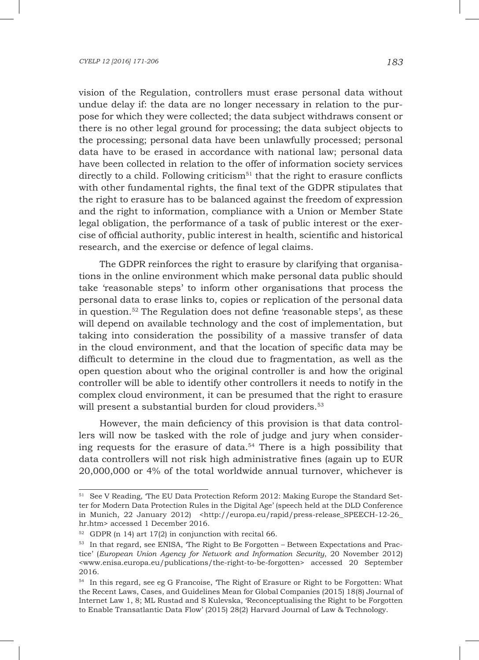vision of the Regulation, controllers must erase personal data without undue delay if: the data are no longer necessary in relation to the purpose for which they were collected; the data subject withdraws consent or there is no other legal ground for processing; the data subject objects to the processing; personal data have been unlawfully processed; personal data have to be erased in accordance with national law; personal data have been collected in relation to the offer of information society services directly to a child. Following criticism<sup>51</sup> that the right to erasure conflicts with other fundamental rights, the final text of the GDPR stipulates that the right to erasure has to be balanced against the freedom of expression and the right to information, compliance with a Union or Member State legal obligation, the performance of a task of public interest or the exercise of official authority, public interest in health, scientific and historical research, and the exercise or defence of legal claims.

The GDPR reinforces the right to erasure by clarifying that organisations in the online environment which make personal data public should take 'reasonable steps' to inform other organisations that process the personal data to erase links to, copies or replication of the personal data in question.52 The Regulation does not define 'reasonable steps', as these will depend on available technology and the cost of implementation, but taking into consideration the possibility of a massive transfer of data in the cloud environment, and that the location of specific data may be difficult to determine in the cloud due to fragmentation, as well as the open question about who the original controller is and how the original controller will be able to identify other controllers it needs to notify in the complex cloud environment, it can be presumed that the right to erasure will present a substantial burden for cloud providers.<sup>53</sup>

However, the main deficiency of this provision is that data controllers will now be tasked with the role of judge and jury when considering requests for the erasure of data.54 There is a high possibility that data controllers will not risk high administrative fines (again up to EUR 20,000,000 or 4% of the total worldwide annual turnover, whichever is

<sup>51</sup> See V Reading, 'The EU Data Protection Reform 2012: Making Europe the Standard Setter for Modern Data Protection Rules in the Digital Age' (speech held at the DLD Conference in Munich, 22 January 2012) <http://europa.eu/rapid/press-release SPEECH-12-26 hr.htm> accessed 1 December 2016.

<sup>52</sup> GDPR (n 14) art 17(2) in conjunction with recital 66.

<sup>53</sup> In that regard, see ENISA, 'The Right to Be Forgotten – Between Expectations and Practice' (*European Union Agency for Network and Information Security*, 20 November 2012) <www.enisa.europa.eu/publications/the-right-to-be-forgotten> accessed 20 September 2016.

<sup>54</sup> In this regard, see eg G Francoise, 'The Right of Erasure or Right to be Forgotten: What the Recent Laws, Cases, and Guidelines Mean for Global Companies (2015) 18(8) Journal of Internet Law 1, 8; ML Rustad and S Kulevska, 'Reconceptualising the Right to be Forgotten to Enable Transatlantic Data Flow' (2015) 28(2) Harvard Journal of Law & Technology.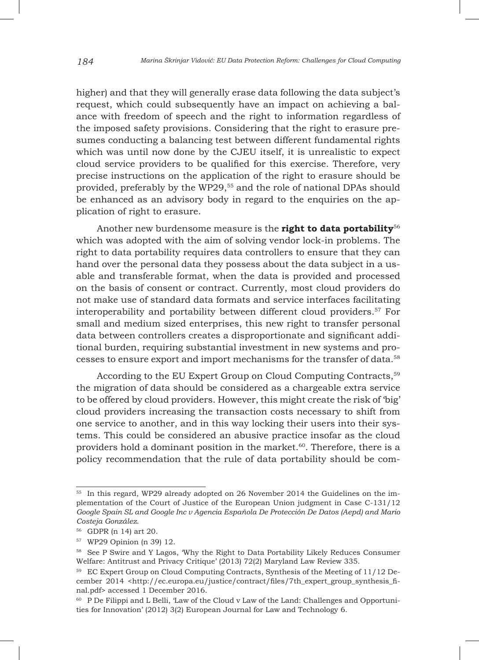higher) and that they will generally erase data following the data subject's request, which could subsequently have an impact on achieving a balance with freedom of speech and the right to information regardless of the imposed safety provisions. Considering that the right to erasure presumes conducting a balancing test between different fundamental rights which was until now done by the CJEU itself, it is unrealistic to expect cloud service providers to be qualified for this exercise. Therefore, very precise instructions on the application of the right to erasure should be provided, preferably by the WP29,<sup>55</sup> and the role of national DPAs should be enhanced as an advisory body in regard to the enquiries on the application of right to erasure.

Another new burdensome measure is the **right to data portability**<sup>56</sup> which was adopted with the aim of solving vendor lock-in problems. The right to data portability requires data controllers to ensure that they can hand over the personal data they possess about the data subject in a usable and transferable format, when the data is provided and processed on the basis of consent or contract. Currently, most cloud providers do not make use of standard data formats and service interfaces facilitating interoperability and portability between different cloud providers.57 For small and medium sized enterprises, this new right to transfer personal data between controllers creates a disproportionate and significant additional burden, requiring substantial investment in new systems and processes to ensure export and import mechanisms for the transfer of data.58

According to the EU Expert Group on Cloud Computing Contracts,<sup>59</sup> the migration of data should be considered as a chargeable extra service to be offered by cloud providers. However, this might create the risk of 'big' cloud providers increasing the transaction costs necessary to shift from one service to another, and in this way locking their users into their systems. This could be considered an abusive practice insofar as the cloud providers hold a dominant position in the market. $60$ . Therefore, there is a policy recommendation that the rule of data portability should be com-

<sup>55</sup> In this regard, WP29 already adopted on 26 November 2014 the Guidelines on the implementation of the Court of Justice of the European Union judgment in Case C-131/12 *Google Spain SL and Google Inc v Agencia Española De Protección De Datos (Aepd) and Mario Costeja González*.

<sup>56</sup> GDPR (n 14) art 20.

<sup>57</sup> WP29 Opinion (n 39) 12.

<sup>58</sup> See P Swire and Y Lagos, 'Why the Right to Data Portability Likely Reduces Consumer Welfare: Antitrust and Privacy Critique' (2013) 72(2) Maryland Law Review 335.

<sup>&</sup>lt;sup>59</sup> EC Expert Group on Cloud Computing Contracts, Synthesis of the Meeting of 11/12 December 2014 <http://ec.europa.eu/justice/contract/files/7th\_expert\_group\_synthesis\_final.pdf> accessed 1 December 2016.

<sup>60</sup> P De Filippi and L Belli, 'Law of the Cloud v Law of the Land: Challenges and Opportunities for Innovation' (2012) 3(2) European Journal for Law and Technology 6.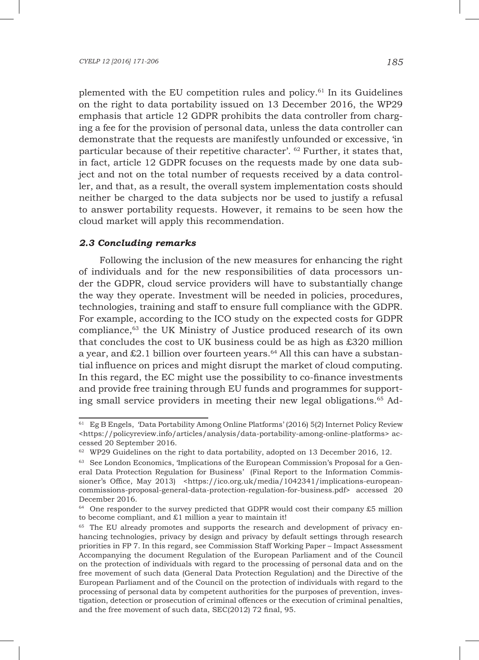plemented with the EU competition rules and policy.61 In its Guidelines on the right to data portability issued on 13 December 2016, the WP29 emphasis that article 12 GDPR prohibits the data controller from charging a fee for the provision of personal data, unless the data controller can demonstrate that the requests are manifestly unfounded or excessive, 'in particular because of their repetitive character'.  $62$  Further, it states that, in fact, article 12 GDPR focuses on the requests made by one data subject and not on the total number of requests received by a data controller, and that, as a result, the overall system implementation costs should neither be charged to the data subjects nor be used to justify a refusal to answer portability requests. However, it remains to be seen how the cloud market will apply this recommendation.

# *2.3 Concluding remarks*

Following the inclusion of the new measures for enhancing the right of individuals and for the new responsibilities of data processors under the GDPR, cloud service providers will have to substantially change the way they operate. Investment will be needed in policies, procedures, technologies, training and staff to ensure full compliance with the GDPR. For example, according to the ICO study on the expected costs for GDPR compliance,<sup>63</sup> the UK Ministry of Justice produced research of its own that concludes the cost to UK business could be as high as  $\text{\pounds}320$  million a year, and  $\&2.1$  billion over fourteen years.<sup>64</sup> All this can have a substantial influence on prices and might disrupt the market of cloud computing. In this regard, the EC might use the possibility to co-finance investments and provide free training through EU funds and programmes for supporting small service providers in meeting their new legal obligations.65 Ad-

<sup>61</sup> Eg B Engels, 'Data Portability Among Online Platforms' (2016) 5(2) Internet Policy Review <https://policyreview.info/articles/analysis/data-portability-among-online-platforms> accessed 20 September 2016.

 $62$  WP29 Guidelines on the right to data portability, adopted on 13 December 2016, 12.

<sup>&</sup>lt;sup>63</sup> See London Economics, 'Implications of the European Commission's Proposal for a General Data Protection Regulation for Business' (Final Report to the Information Commissioner's Office, May 2013) <https://ico.org.uk/media/1042341/implications-europeancommissions-proposal-general-data-protection-regulation-for-business.pdf> accessed 20 December 2016.

<sup>64</sup> One responder to the survey predicted that GDPR would cost their company £5 million to become compliant, and £1 million a year to maintain it!

<sup>&</sup>lt;sup>65</sup> The EU already promotes and supports the research and development of privacy enhancing technologies, privacy by design and privacy by default settings through research priorities in FP 7. In this regard, see Commission Staff Working Paper – Impact Assessment Accompanying the document Regulation of the European Parliament and of the Council on the protection of individuals with regard to the processing of personal data and on the free movement of such data (General Data Protection Regulation) and the Directive of the European Parliament and of the Council on the protection of individuals with regard to the processing of personal data by competent authorities for the purposes of prevention, investigation, detection or prosecution of criminal offences or the execution of criminal penalties, and the free movement of such data, SEC(2012) 72 final, 95.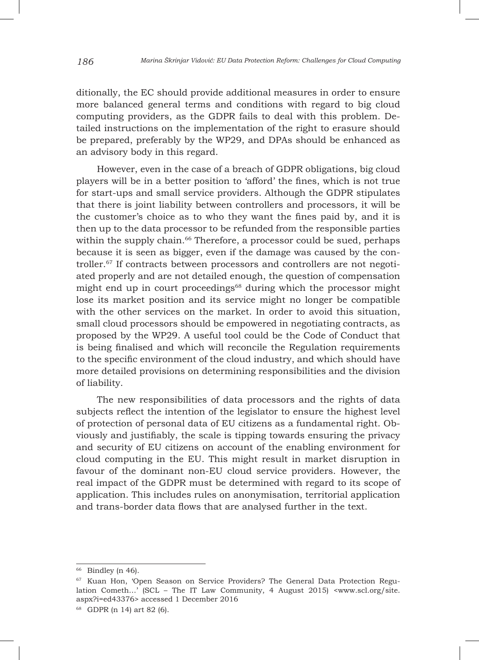ditionally, the EC should provide additional measures in order to ensure more balanced general terms and conditions with regard to big cloud computing providers, as the GDPR fails to deal with this problem. Detailed instructions on the implementation of the right to erasure should be prepared, preferably by the WP29, and DPAs should be enhanced as an advisory body in this regard.

However, even in the case of a breach of GDPR obligations, big cloud players will be in a better position to 'afford' the fines, which is not true for start-ups and small service providers. Although the GDPR stipulates that there is joint liability between controllers and processors, it will be the customer's choice as to who they want the fines paid by, and it is then up to the data processor to be refunded from the responsible parties within the supply chain.<sup>66</sup> Therefore, a processor could be sued, perhaps because it is seen as bigger, even if the damage was caused by the controller.<sup>67</sup> If contracts between processors and controllers are not negotiated properly and are not detailed enough, the question of compensation might end up in court proceedings<sup>68</sup> during which the processor might lose its market position and its service might no longer be compatible with the other services on the market. In order to avoid this situation, small cloud processors should be empowered in negotiating contracts, as proposed by the WP29. A useful tool could be the Code of Conduct that is being finalised and which will reconcile the Regulation requirements to the specific environment of the cloud industry, and which should have more detailed provisions on determining responsibilities and the division of liability.

The new responsibilities of data processors and the rights of data subjects reflect the intention of the legislator to ensure the highest level of protection of personal data of EU citizens as a fundamental right. Obviously and justifiably, the scale is tipping towards ensuring the privacy and security of EU citizens on account of the enabling environment for cloud computing in the EU. This might result in market disruption in favour of the dominant non-EU cloud service providers. However, the real impact of the GDPR must be determined with regard to its scope of application. This includes rules on anonymisation, territorial application and trans-border data flows that are analysed further in the text.

 $66$  Bindley (n 46).

<sup>67</sup> Kuan Hon, 'Open Season on Service Providers? The General Data Protection Regulation Cometh...' (SCL – The IT Law Community, 4 August 2015) <www.scl.org/site. aspx?i=ed43376> accessed 1 December 2016

<sup>68</sup> GDPR (n 14) art 82 (6).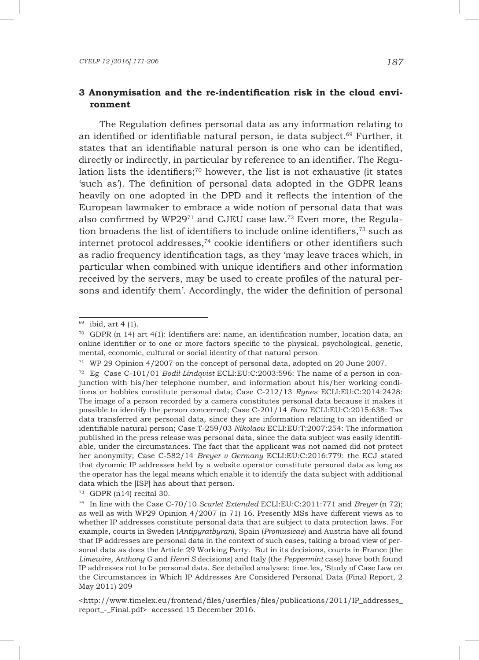## **3 Anonymisation and the re-indentification risk in the cloud environment**

The Regulation defines personal data as any information relating to an identified or identifiable natural person, ie data subject.<sup>69</sup> Further, it states that an identifiable natural person is one who can be identified, directly or indirectly, in particular by reference to an identifier. The Regulation lists the identifiers; $70$  however, the list is not exhaustive (it states 'such as'). The definition of personal data adopted in the GDPR leans heavily on one adopted in the DPD and it reflects the intention of the European lawmaker to embrace a wide notion of personal data that was also confirmed by  $WP29^{71}$  and CJEU case law.<sup>72</sup> Even more, the Regulation broadens the list of identifiers to include online identifiers, $73$  such as internet protocol addresses,74 cookie identifiers or other identifiers such as radio frequency identification tags, as they 'may leave traces which, in particular when combined with unique identifiers and other information received by the servers, may be used to create profiles of the natural persons and identify them'. Accordingly, the wider the definition of personal

 $69$  ibid, art 4 (1).

 $70$  GDPR (n 14) art 4(1): Identifiers are: name, an identification number, location data, an online identifier or to one or more factors specific to the physical, psychological, genetic, mental, economic, cultural or social identity of that natural person

<sup>71</sup> WP 29 Opinion 4/2007 on the concept of personal data, adopted on 20 June 2007.

<sup>72</sup> Eg Case C-101/01 *Bodil Lindqvist* ECLI:EU:C:2003:596: The name of a person in conjunction with his/her telephone number, and information about his/her working conditions or hobbies constitute personal data; Case C-212/13 *Rynes* ECLI:EU:C:2014:2428: The image of a person recorded by a camera constitutes personal data because it makes it possible to identify the person concerned; Case C-201/14 *Bara* ECLI:EU:C:2015:638: Tax data transferred are personal data, since they are information relating to an identified or identifiable natural person; Case T-259/03 *Nikolaou* ECLI:EU:T:2007:254: The information published in the press release was personal data, since the data subject was easily identifiable, under the circumstances. The fact that the applicant was not named did not protect her anonymity; Case C-582/14 *Breyer v Germany* ECLI:EU:C:2016:779: the ECJ stated that dynamic IP addresses held by a website operator constitute personal data as long as the operator has the legal means which enable it to identify the data subject with additional data which the [ISP] has about that person.

<sup>73</sup> GDPR (n14) recital 30.

<sup>74</sup> In line with the Case C-70/10 *Scarlet Extended* ECLI:EU:C:2011:771 and *Breyer* (n 72); as well as with WP29 Opinion 4/2007 (n 71) 16. Presently MSs have different views as to whether IP addresses constitute personal data that are subject to data protection laws. For example, courts in Sweden (*Antipyratbyran*), Spain (*Promusicae*) and Austria have all found that IP addresses are personal data in the context of such cases, taking a broad view of personal data as does the Article 29 Working Party. But in its decisions, courts in France (the *Limewire*, *Anthony G* and *Henri S* decisions) and Italy (the *Peppermint* case) have both found IP addresses not to be personal data. See detailed analyses: time.lex, 'Study of Case Law on the Circumstances in Which IP Addresses Are Considered Personal Data (Final Report, 2 May 2011) 209

<sup>&</sup>lt;http://www.timelex.eu/frontend/files/userfiles/files/publications/2011/IP\_addresses\_ report\_-\_Final.pdf> accessed 15 December 2016.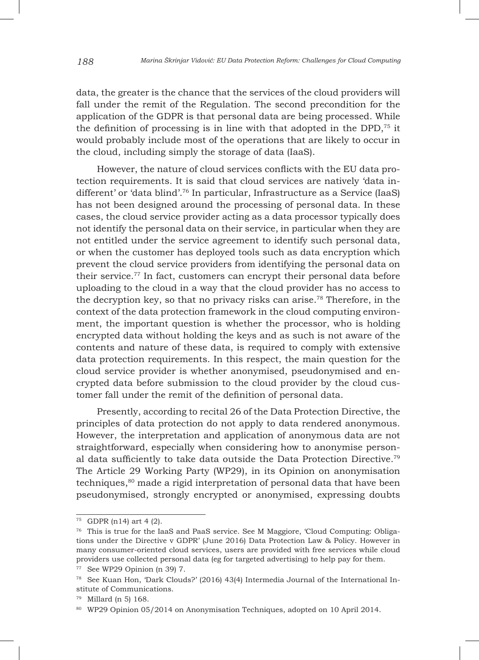data, the greater is the chance that the services of the cloud providers will fall under the remit of the Regulation. The second precondition for the application of the GDPR is that personal data are being processed. While the definition of processing is in line with that adopted in the DPD,75 it would probably include most of the operations that are likely to occur in the cloud, including simply the storage of data (IaaS).

However, the nature of cloud services conflicts with the EU data protection requirements. It is said that cloud services are natively 'data indifferent' or 'data blind'.76 In particular, Infrastructure as a Service (IaaS) has not been designed around the processing of personal data. In these cases, the cloud service provider acting as a data processor typically does not identify the personal data on their service, in particular when they are not entitled under the service agreement to identify such personal data, or when the customer has deployed tools such as data encryption which prevent the cloud service providers from identifying the personal data on their service.77 In fact, customers can encrypt their personal data before uploading to the cloud in a way that the cloud provider has no access to the decryption key, so that no privacy risks can arise.78 Therefore, in the context of the data protection framework in the cloud computing environment, the important question is whether the processor, who is holding encrypted data without holding the keys and as such is not aware of the contents and nature of these data, is required to comply with extensive data protection requirements. In this respect, the main question for the cloud service provider is whether anonymised, pseudonymised and encrypted data before submission to the cloud provider by the cloud customer fall under the remit of the definition of personal data.

Presently, according to recital 26 of the Data Protection Directive, the principles of data protection do not apply to data rendered anonymous. However, the interpretation and application of anonymous data are not straightforward, especially when considering how to anonymise personal data sufficiently to take data outside the Data Protection Directive.79 The Article 29 Working Party (WP29), in its Opinion on anonymisation techniques,80 made a rigid interpretation of personal data that have been pseudonymised, strongly encrypted or anonymised, expressing doubts

<sup>75</sup> GDPR (n14) art 4 (2).

<sup>76</sup> This is true for the IaaS and PaaS service. See M Maggiore, 'Cloud Computing: Obligations under the Directive v GDPR' (June 2016) Data Protection Law & Policy. However in many consumer-oriented cloud services, users are provided with free services while cloud providers use collected personal data (eg for targeted advertising) to help pay for them.

<sup>77</sup> See WP29 Opinion (n 39) 7.

<sup>78</sup> See Kuan Hon, 'Dark Clouds?' (2016) 43(4) Intermedia Journal of the International Institute of Communications.

<sup>79</sup> Millard (n 5) 168.

<sup>80</sup> WP29 Opinion 05/2014 on Anonymisation Techniques, adopted on 10 April 2014.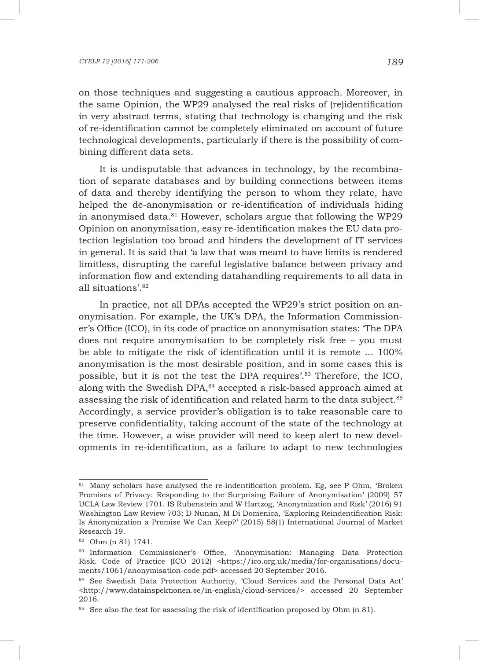#### *CYELP 12 [2016] 171-206 189*

on those techniques and suggesting a cautious approach. Moreover, in the same Opinion, the WP29 analysed the real risks of (re)identification in very abstract terms, stating that technology is changing and the risk of re-identification cannot be completely eliminated on account of future technological developments, particularly if there is the possibility of combining different data sets.

It is undisputable that advances in technology, by the recombination of separate databases and by building connections between items of data and thereby identifying the person to whom they relate, have helped the de-anonymisation or re-identification of individuals hiding in anonymised data.<sup>81</sup> However, scholars argue that following the WP29 Opinion on anonymisation, easy re-identification makes the EU data protection legislation too broad and hinders the development of IT services in general. It is said that 'a law that was meant to have limits is rendered limitless, disrupting the careful legislative balance between privacy and information flow and extending datahandling requirements to all data in all situations'.82

In practice, not all DPAs accepted the WP29's strict position on anonymisation. For example, the UK's DPA, the Information Commissioner's Office (ICO), in its code of practice on anonymisation states: 'The DPA does not require anonymisation to be completely risk free – you must be able to mitigate the risk of identification until it is remote ... 100% anonymisation is the most desirable position, and in some cases this is possible, but it is not the test the DPA requires'.83 Therefore, the ICO, along with the Swedish DPA,<sup>84</sup> accepted a risk-based approach aimed at assessing the risk of identification and related harm to the data subject.<sup>85</sup> Accordingly, a service provider's obligation is to take reasonable care to preserve confidentiality, taking account of the state of the technology at the time. However, a wise provider will need to keep alert to new developments in re-identification, as a failure to adapt to new technologies

<sup>&</sup>lt;sup>81</sup> Many scholars have analysed the re-indentification problem. Eg, see P Ohm, 'Broken Promises of Privacy: Responding to the Surprising Failure of Anonymisation' (2009) 57 UCLA Law Review 1701. IS Rubenstein and W Hartzog, 'Anonymization and Risk' (2016) 91 Washington Law Review 703; D Nunan, M Di Domenica, 'Exploring Reindentification Risk: Is Anonymization a Promise We Can Keep?' (2015) 58(1) International Journal of Market Research 19.

<sup>82</sup> Ohm (n 81) 1741.

<sup>83</sup> Information Commissioner's Office, 'Anonymisation: Managing Data Protection Risk. Code of Practice (ICO 2012) <https://ico.org.uk/media/for-organisations/documents/1061/anonymisation-code.pdf> accessed 20 September 2016.

<sup>84</sup> See Swedish Data Protection Authority, 'Cloud Services and the Personal Data Act' <http://www.datainspektionen.se/in-english/cloud-services/> accessed 20 September 2016.

<sup>&</sup>lt;sup>85</sup> See also the test for assessing the risk of identification proposed by Ohm (n 81).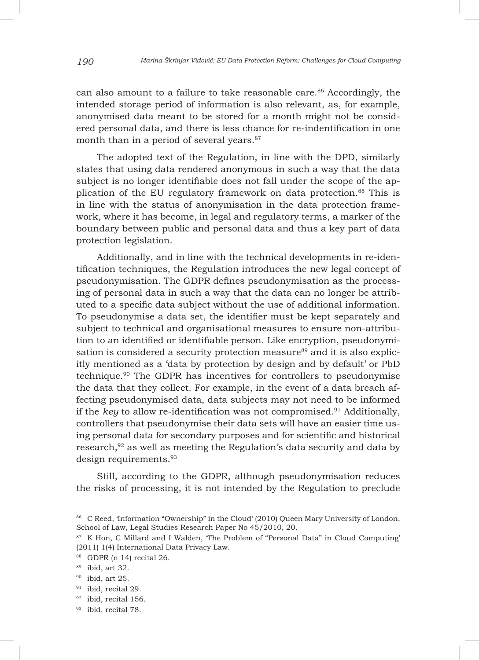can also amount to a failure to take reasonable care.<sup>86</sup> Accordingly, the intended storage period of information is also relevant, as, for example, anonymised data meant to be stored for a month might not be considered personal data, and there is less chance for re-indentification in one month than in a period of several years.<sup>87</sup>

The adopted text of the Regulation, in line with the DPD, similarly states that using data rendered anonymous in such a way that the data subject is no longer identifiable does not fall under the scope of the application of the EU regulatory framework on data protection.88 This is in line with the status of anonymisation in the data protection framework, where it has become, in legal and regulatory terms, a marker of the boundary between public and personal data and thus a key part of data protection legislation.

Additionally, and in line with the technical developments in re-identification techniques, the Regulation introduces the new legal concept of pseudonymisation. The GDPR defines pseudonymisation as the processing of personal data in such a way that the data can no longer be attributed to a specific data subject without the use of additional information. To pseudonymise a data set, the identifier must be kept separately and subject to technical and organisational measures to ensure non-attribution to an identified or identifiable person. Like encryption, pseudonymisation is considered a security protection measure<sup>89</sup> and it is also explicitly mentioned as a 'data by protection by design and by default' or PbD technique.90 The GDPR has incentives for controllers to pseudonymise the data that they collect. For example, in the event of a data breach affecting pseudonymised data, data subjects may not need to be informed if the *key* to allow re-identification was not compromised.91 Additionally, controllers that pseudonymise their data sets will have an easier time using personal data for secondary purposes and for scientific and historical research,<sup>92</sup> as well as meeting the Regulation's data security and data by design requirements.93

Still, according to the GDPR, although pseudonymisation reduces the risks of processing, it is not intended by the Regulation to preclude

<sup>86</sup> C Reed, 'Information "Ownership" in the Cloud' (2010) Queen Mary University of London, School of Law, Legal Studies Research Paper No 45/2010, 20.

<sup>&</sup>lt;sup>87</sup> K Hon, C Millard and I Walden, 'The Problem of "Personal Data" in Cloud Computing' (2011) 1(4) International Data Privacy Law.

<sup>88</sup> GDPR (n 14) recital 26.

<sup>89</sup> ibid, art 32.

 $90$  ibid, art 25.

<sup>&</sup>lt;sup>91</sup> ibid, recital 29.

<sup>92</sup> ibid, recital 156.

<sup>93</sup> ibid, recital 78.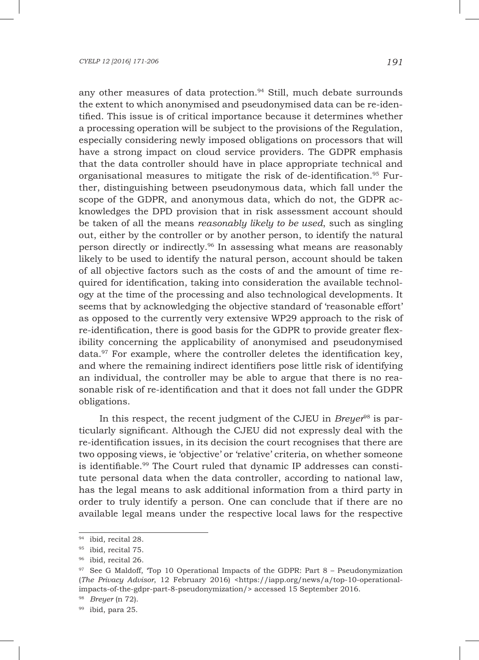any other measures of data protection.<sup>94</sup> Still, much debate surrounds the extent to which anonymised and pseudonymised data can be re-identified. This issue is of critical importance because it determines whether a processing operation will be subject to the provisions of the Regulation, especially considering newly imposed obligations on processors that will have a strong impact on cloud service providers. The GDPR emphasis that the data controller should have in place appropriate technical and organisational measures to mitigate the risk of de-identification.95 Further, distinguishing between pseudonymous data, which fall under the scope of the GDPR, and anonymous data, which do not, the GDPR acknowledges the DPD provision that in risk assessment account should be taken of all the means *reasonably likely to be used*, such as singling out, either by the controller or by another person, to identify the natural person directly or indirectly.96 In assessing what means are reasonably likely to be used to identify the natural person, account should be taken of all objective factors such as the costs of and the amount of time required for identification, taking into consideration the available technology at the time of the processing and also technological developments. It seems that by acknowledging the objective standard of 'reasonable effort' as opposed to the currently very extensive WP29 approach to the risk of re-identification, there is good basis for the GDPR to provide greater flexibility concerning the applicability of anonymised and pseudonymised data. $97$  For example, where the controller deletes the identification key, and where the remaining indirect identifiers pose little risk of identifying an individual, the controller may be able to argue that there is no reasonable risk of re-identification and that it does not fall under the GDPR obligations.

In this respect, the recent judgment of the CJEU in *Breyer*98 is particularly significant. Although the CJEU did not expressly deal with the re-identification issues, in its decision the court recognises that there are two opposing views, ie 'objective' or 'relative' criteria, on whether someone is identifiable.99 The Court ruled that dynamic IP addresses can constitute personal data when the data controller, according to national law, has the legal means to ask additional information from a third party in order to truly identify a person. One can conclude that if there are no available legal means under the respective local laws for the respective

<sup>&</sup>lt;sup>94</sup> ibid, recital 28.

<sup>&</sup>lt;sup>95</sup> ibid, recital 75.

<sup>96</sup> ibid, recital 26.

 $97$  See G Maldoff, Top 10 Operational Impacts of the GDPR: Part  $8$  – Pseudonymization (*The Privacy Advisor*, 12 February 2016) <https://iapp.org/news/a/top-10-operationalimpacts-of-the-gdpr-part-8-pseudonymization/> accessed 15 September 2016.

<sup>98</sup> *Breyer* (n 72).

 $99$  ibid, para 25.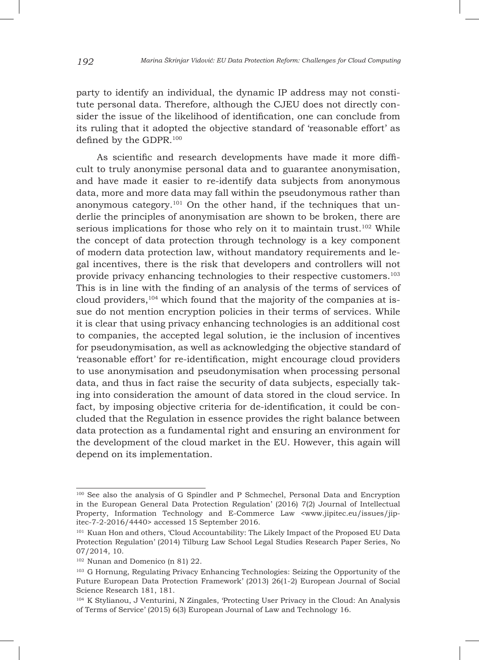party to identify an individual, the dynamic IP address may not constitute personal data. Therefore, although the CJEU does not directly consider the issue of the likelihood of identification, one can conclude from its ruling that it adopted the objective standard of 'reasonable effort' as defined by the GDPR.100

As scientific and research developments have made it more difficult to truly anonymise personal data and to guarantee anonymisation, and have made it easier to re-identify data subjects from anonymous data, more and more data may fall within the pseudonymous rather than anonymous category.<sup>101</sup> On the other hand, if the techniques that underlie the principles of anonymisation are shown to be broken, there are serious implications for those who rely on it to maintain trust.<sup>102</sup> While the concept of data protection through technology is a key component of modern data protection law, without mandatory requirements and legal incentives, there is the risk that developers and controllers will not provide privacy enhancing technologies to their respective customers.103 This is in line with the finding of an analysis of the terms of services of cloud providers,<sup>104</sup> which found that the majority of the companies at issue do not mention encryption policies in their terms of services. While it is clear that using privacy enhancing technologies is an additional cost to companies, the accepted legal solution, ie the inclusion of incentives for pseudonymisation, as well as acknowledging the objective standard of 'reasonable effort' for re-identification, might encourage cloud providers to use anonymisation and pseudonymisation when processing personal data, and thus in fact raise the security of data subjects, especially taking into consideration the amount of data stored in the cloud service. In fact, by imposing objective criteria for de-identification, it could be concluded that the Regulation in essence provides the right balance between data protection as a fundamental right and ensuring an environment for the development of the cloud market in the EU. However, this again will depend on its implementation.

<sup>&</sup>lt;sup>100</sup> See also the analysis of G Spindler and P Schmechel, Personal Data and Encryption in the European General Data Protection Regulation' (2016) 7(2) Journal of Intellectual Property, Information Technology and E-Commerce Law <www.jipitec.eu/issues/jipitec-7-2-2016/4440> accessed 15 September 2016.

<sup>101</sup> Kuan Hon and others, 'Cloud Accountability: The Likely Impact of the Proposed EU Data Protection Regulation' (2014) Tilburg Law School Legal Studies Research Paper Series, No 07/2014, 10.

<sup>102</sup> Nunan and Domenico (n 81) 22.

<sup>103</sup> G Hornung, Regulating Privacy Enhancing Technologies: Seizing the Opportunity of the Future European Data Protection Framework' (2013) 26(1-2) European Journal of Social Science Research 181, 181.

<sup>104</sup> K Stylianou, J Venturini, N Zingales, 'Protecting User Privacy in the Cloud: An Analysis of Terms of Service' (2015) 6(3) European Journal of Law and Technology 16.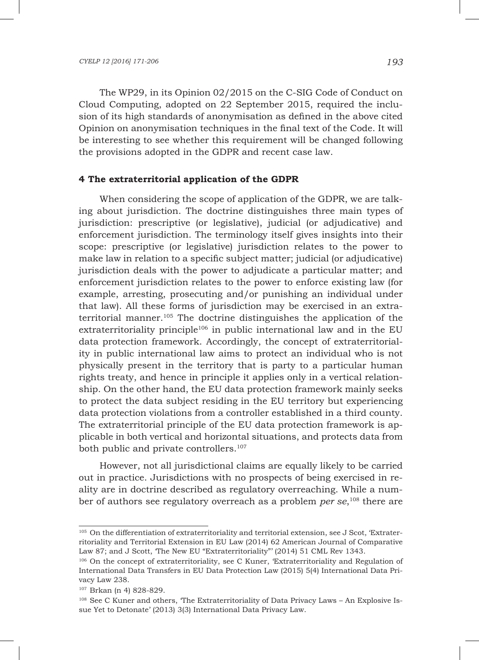The WP29, in its Opinion 02/2015 on the C-SIG Code of Conduct on Cloud Computing, adopted on 22 September 2015, required the inclusion of its high standards of anonymisation as defined in the above cited Opinion on anonymisation techniques in the final text of the Code. It will be interesting to see whether this requirement will be changed following the provisions adopted in the GDPR and recent case law.

#### **4 The extraterritorial application of the GDPR**

When considering the scope of application of the GDPR, we are talking about jurisdiction. The doctrine distinguishes three main types of jurisdiction: prescriptive (or legislative), judicial (or adjudicative) and enforcement jurisdiction. The terminology itself gives insights into their scope: prescriptive (or legislative) jurisdiction relates to the power to make law in relation to a specific subject matter; judicial (or adjudicative) jurisdiction deals with the power to adjudicate a particular matter; and enforcement jurisdiction relates to the power to enforce existing law (for example, arresting, prosecuting and/or punishing an individual under that law). All these forms of jurisdiction may be exercised in an extraterritorial manner.105 The doctrine distinguishes the application of the extraterritoriality principle<sup>106</sup> in public international law and in the EU data protection framework. Accordingly, the concept of extraterritoriality in public international law aims to protect an individual who is not physically present in the territory that is party to a particular human rights treaty, and hence in principle it applies only in a vertical relationship. On the other hand, the EU data protection framework mainly seeks to protect the data subject residing in the EU territory but experiencing data protection violations from a controller established in a third county. The extraterritorial principle of the EU data protection framework is applicable in both vertical and horizontal situations, and protects data from both public and private controllers.107

However, not all jurisdictional claims are equally likely to be carried out in practice. Jurisdictions with no prospects of being exercised in reality are in doctrine described as regulatory overreaching. While a number of authors see regulatory overreach as a problem *per se*, <sup>108</sup> there are

<sup>&</sup>lt;sup>105</sup> On the differentiation of extraterritoriality and territorial extension, see J Scot, 'Extraterritoriality and Territorial Extension in EU Law (2014) 62 American Journal of Comparative Law 87; and J Scott, 'The New EU "Extraterritoriality"' (2014) 51 CML Rev 1343.

<sup>106</sup> On the concept of extraterritoriality, see C Kuner, 'Extraterritoriality and Regulation of International Data Transfers in EU Data Protection Law (2015) 5(4) International Data Privacy Law 238.

<sup>107</sup> Brkan (n 4) 828-829.

<sup>108</sup> See C Kuner and others, 'The Extraterritoriality of Data Privacy Laws – An Explosive Issue Yet to Detonate' (2013) 3(3) International Data Privacy Law.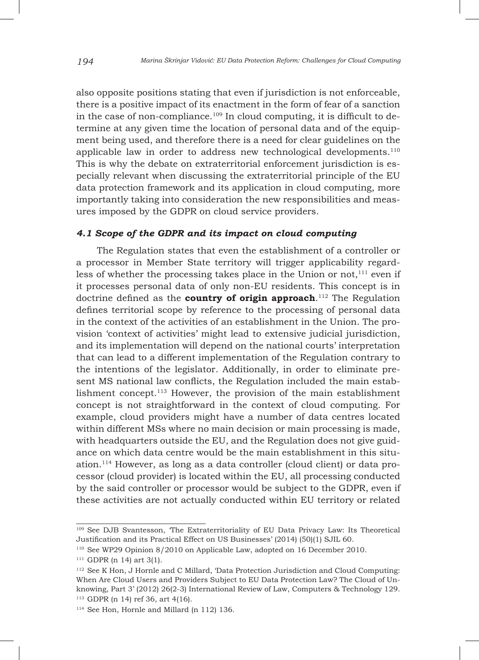also opposite positions stating that even if jurisdiction is not enforceable, there is a positive impact of its enactment in the form of fear of a sanction in the case of non-compliance.<sup>109</sup> In cloud computing, it is difficult to determine at any given time the location of personal data and of the equipment being used, and therefore there is a need for clear guidelines on the applicable law in order to address new technological developments.110 This is why the debate on extraterritorial enforcement jurisdiction is especially relevant when discussing the extraterritorial principle of the EU data protection framework and its application in cloud computing, more importantly taking into consideration the new responsibilities and measures imposed by the GDPR on cloud service providers.

## *4.1 Scope of the GDPR and its impact on cloud computing*

The Regulation states that even the establishment of a controller or a processor in Member State territory will trigger applicability regardless of whether the processing takes place in the Union or not, $111$  even if it processes personal data of only non-EU residents. This concept is in doctrine defined as the **country of origin approach**. <sup>112</sup> The Regulation defines territorial scope by reference to the processing of personal data in the context of the activities of an establishment in the Union. The provision 'context of activities' might lead to extensive judicial jurisdiction, and its implementation will depend on the national courts' interpretation that can lead to a different implementation of the Regulation contrary to the intentions of the legislator. Additionally, in order to eliminate present MS national law conflicts, the Regulation included the main establishment concept.113 However, the provision of the main establishment concept is not straightforward in the context of cloud computing. For example, cloud providers might have a number of data centres located within different MSs where no main decision or main processing is made, with headquarters outside the EU, and the Regulation does not give guidance on which data centre would be the main establishment in this situation.114 However, as long as a data controller (cloud client) or data processor (cloud provider) is located within the EU, all processing conducted by the said controller or processor would be subject to the GDPR, even if these activities are not actually conducted within EU territory or related

<sup>109</sup> See DJB Svantesson, 'The Extraterritoriality of EU Data Privacy Law: Its Theoretical Justification and its Practical Effect on US Businesses' (2014) (50)(1) SJIL 60.

<sup>110</sup> See WP29 Opinion 8/2010 on Applicable Law, adopted on 16 December 2010.

<sup>111</sup> GDPR (n 14) art 3(1).

<sup>112</sup> See K Hon, J Hornle and C Millard, 'Data Protection Jurisdiction and Cloud Computing: When Are Cloud Users and Providers Subject to EU Data Protection Law? The Cloud of Unknowing, Part 3' (2012) 26(2-3) International Review of Law, Computers & Technology 129. <sup>113</sup> GDPR (n 14) ref 36, art 4(16).

<sup>114</sup> See Hon, Hornle and Millard (n 112) 136.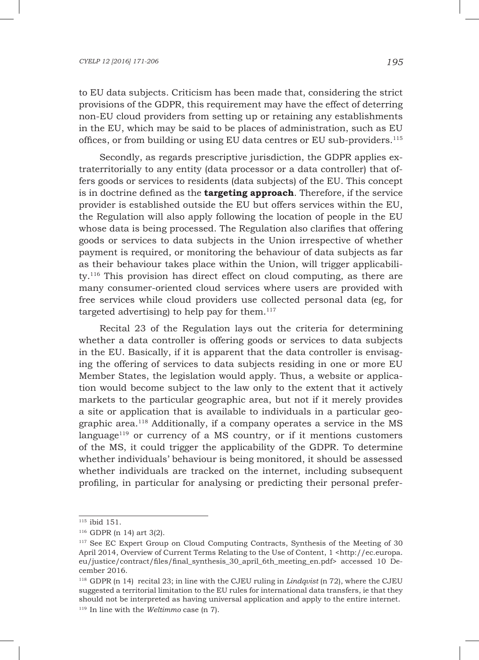to EU data subjects. Criticism has been made that, considering the strict provisions of the GDPR, this requirement may have the effect of deterring non-EU cloud providers from setting up or retaining any establishments in the EU, which may be said to be places of administration, such as EU offices, or from building or using EU data centres or EU sub-providers.115

Secondly, as regards prescriptive jurisdiction, the GDPR applies extraterritorially to any entity (data processor or a data controller) that offers goods or services to residents (data subjects) of the EU. This concept is in doctrine defined as the **targeting approach**. Therefore, if the service provider is established outside the EU but offers services within the EU, the Regulation will also apply following the location of people in the EU whose data is being processed. The Regulation also clarifies that offering goods or services to data subjects in the Union irrespective of whether payment is required, or monitoring the behaviour of data subjects as far as their behaviour takes place within the Union, will trigger applicability.116 This provision has direct effect on cloud computing, as there are many consumer-oriented cloud services where users are provided with free services while cloud providers use collected personal data (eg, for targeted advertising) to help pay for them. $117$ 

Recital 23 of the Regulation lays out the criteria for determining whether a data controller is offering goods or services to data subjects in the EU. Basically, if it is apparent that the data controller is envisaging the offering of services to data subjects residing in one or more EU Member States, the legislation would apply. Thus, a website or application would become subject to the law only to the extent that it actively markets to the particular geographic area, but not if it merely provides a site or application that is available to individuals in a particular geographic area.118 Additionally, if a company operates a service in the MS language<sup>119</sup> or currency of a MS country, or if it mentions customers of the MS, it could trigger the applicability of the GDPR. To determine whether individuals' behaviour is being monitored, it should be assessed whether individuals are tracked on the internet, including subsequent profiling, in particular for analysing or predicting their personal prefer-

<sup>115</sup> ibid 151.

<sup>116</sup> GDPR (n 14) art 3(2).

<sup>117</sup> See EC Expert Group on Cloud Computing Contracts, Synthesis of the Meeting of 30 April 2014, Overview of Current Terms Relating to the Use of Content, 1 <http://ec.europa. eu/justice/contract/files/final\_synthesis\_30\_april\_6th\_meeting\_en.pdf> accessed 10 December 2016.

<sup>118</sup> GDPR (n 14) recital 23; in line with the CJEU ruling in *Lindqvist* (n 72), where the CJEU suggested a territorial limitation to the EU rules for international data transfers, ie that they should not be interpreted as having universal application and apply to the entire internet. <sup>119</sup> In line with the *Weltimmo* case (n 7).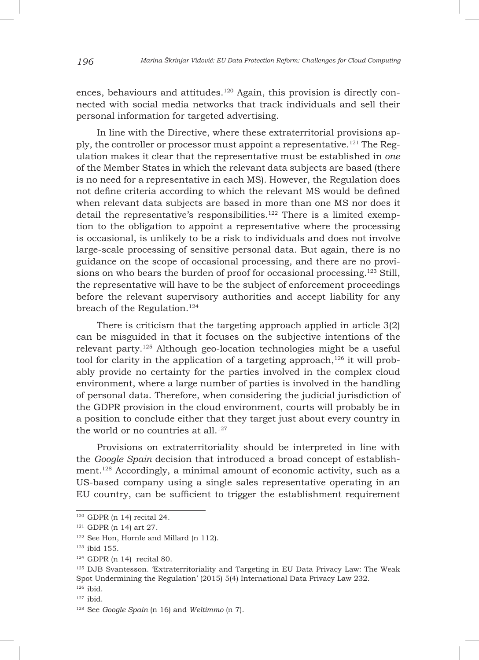ences, behaviours and attitudes.<sup>120</sup> Again, this provision is directly connected with social media networks that track individuals and sell their personal information for targeted advertising.

In line with the Directive, where these extraterritorial provisions apply, the controller or processor must appoint a representative.121 The Regulation makes it clear that the representative must be established in *one* of the Member States in which the relevant data subjects are based (there is no need for a representative in each MS). However, the Regulation does not define criteria according to which the relevant MS would be defined when relevant data subjects are based in more than one MS nor does it detail the representative's responsibilities.<sup>122</sup> There is a limited exemption to the obligation to appoint a representative where the processing is occasional, is unlikely to be a risk to individuals and does not involve large-scale processing of sensitive personal data. But again, there is no guidance on the scope of occasional processing, and there are no provisions on who bears the burden of proof for occasional processing.<sup>123</sup> Still, the representative will have to be the subject of enforcement proceedings before the relevant supervisory authorities and accept liability for any breach of the Regulation.<sup>124</sup>

There is criticism that the targeting approach applied in article 3(2) can be misguided in that it focuses on the subjective intentions of the relevant party.125 Although geo-location technologies might be a useful tool for clarity in the application of a targeting approach, $126$  it will probably provide no certainty for the parties involved in the complex cloud environment, where a large number of parties is involved in the handling of personal data. Therefore, when considering the judicial jurisdiction of the GDPR provision in the cloud environment, courts will probably be in a position to conclude either that they target just about every country in the world or no countries at all.<sup>127</sup>

Provisions on extraterritoriality should be interpreted in line with the *Google Spain* decision that introduced a broad concept of establishment.128 Accordingly, a minimal amount of economic activity, such as a US-based company using a single sales representative operating in an EU country, can be sufficient to trigger the establishment requirement

 $120$  GDPR (n 14) recital 24.

<sup>121</sup> GDPR (n 14) art 27.

<sup>&</sup>lt;sup>122</sup> See Hon, Hornle and Millard (n 112).

<sup>123</sup> ibid 155.

 $124$  GDPR (n 14) recital 80.

<sup>125</sup> DJB Svantesson. 'Extraterritoriality and Targeting in EU Data Privacy Law: The Weak Spot Undermining the Regulation' (2015) 5(4) International Data Privacy Law 232. <sup>126</sup> ibid.

 $127$  ibid.

<sup>128</sup> See *Google Spain* (n 16) and *Weltimmo* (n 7).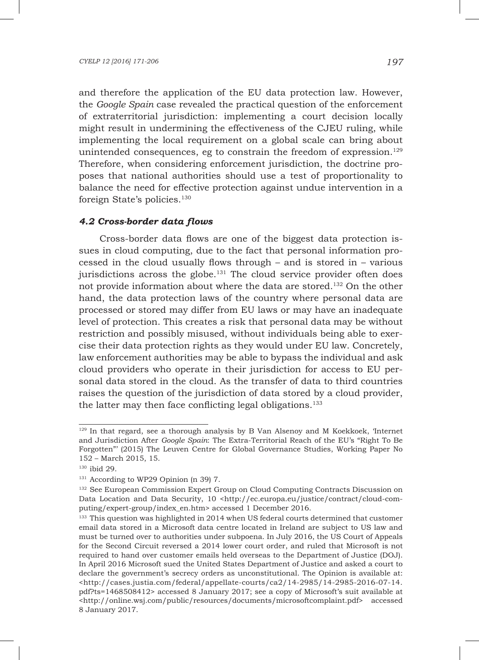and therefore the application of the EU data protection law. However, the *Google Spain* case revealed the practical question of the enforcement of extraterritorial jurisdiction: implementing a court decision locally might result in undermining the effectiveness of the CJEU ruling, while implementing the local requirement on a global scale can bring about unintended consequences, eg to constrain the freedom of  $exp$ ression.<sup>129</sup> Therefore, when considering enforcement jurisdiction, the doctrine proposes that national authorities should use a test of proportionality to balance the need for effective protection against undue intervention in a foreign State's policies.<sup>130</sup>

### *4.2 Cross-border data flows*

Cross-border data flows are one of the biggest data protection issues in cloud computing, due to the fact that personal information processed in the cloud usually flows through – and is stored in – various jurisdictions across the globe. $131$  The cloud service provider often does not provide information about where the data are stored.132 On the other hand, the data protection laws of the country where personal data are processed or stored may differ from EU laws or may have an inadequate level of protection. This creates a risk that personal data may be without restriction and possibly misused, without individuals being able to exercise their data protection rights as they would under EU law. Concretely, law enforcement authorities may be able to bypass the individual and ask cloud providers who operate in their jurisdiction for access to EU personal data stored in the cloud. As the transfer of data to third countries raises the question of the jurisdiction of data stored by a cloud provider, the latter may then face conflicting legal obligations.<sup>133</sup>

 $129$  In that regard, see a thorough analysis by B Van Alsenoy and M Koekkoek, Internet and Jurisdiction After *Google Spain*: The Extra-Territorial Reach of the EU's "Right To Be Forgotten"' (2015) The Leuven Centre for Global Governance Studies, Working Paper No 152 – March 2015, 15.

<sup>130</sup> ibid 29.

<sup>&</sup>lt;sup>131</sup> According to WP29 Opinion (n 39) 7.

<sup>&</sup>lt;sup>132</sup> See European Commission Expert Group on Cloud Computing Contracts Discussion on Data Location and Data Security, 10 <http://ec.europa.eu/justice/contract/cloud-computing/expert-group/index\_en.htm> accessed 1 December 2016.

<sup>&</sup>lt;sup>133</sup> This question was highlighted in 2014 when US federal courts determined that customer email data stored in a Microsoft data centre located in Ireland are subject to US law and must be turned over to authorities under subpoena. In July 2016, the US Court of Appeals for the Second Circuit reversed a 2014 lower court order, and ruled that Microsoft is not required to hand over customer emails held overseas to the Department of Justice (DOJ). In April 2016 Microsoft sued the United States Department of Justice and asked a court to declare the government's secrecy orders as unconstitutional. The Opinion is available at: <http://cases.justia.com/federal/appellate-courts/ca2/14-2985/14-2985-2016-07-14. pdf?ts=1468508412> accessed 8 January 2017; see a copy of Microsoft's suit available at <http://online.wsj.com/public/resources/documents/microsoftcomplaint.pdf> accessed 8 January 2017.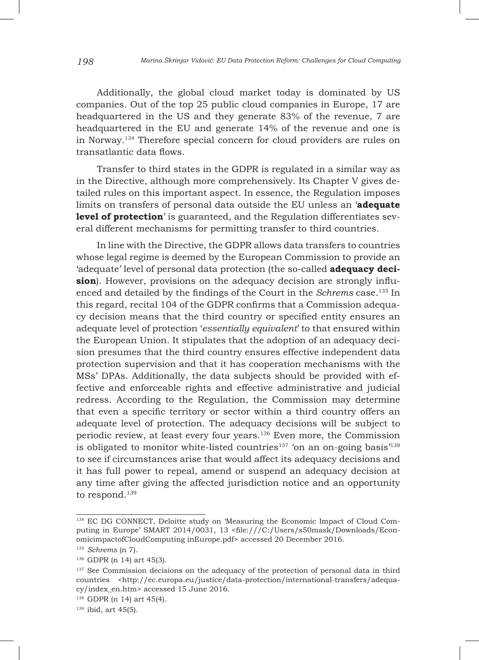Additionally, the global cloud market today is dominated by US companies. Out of the top 25 public cloud companies in Europe, 17 are headquartered in the US and they generate 83% of the revenue, 7 are headquartered in the EU and generate 14% of the revenue and one is in Norway.134 Therefore special concern for cloud providers are rules on transatlantic data flows.

Transfer to third states in the GDPR is regulated in a similar way as in the Directive, although more comprehensively. Its Chapter V gives detailed rules on this important aspect. In essence, the Regulation imposes limits on transfers of personal data outside the EU unless an '**adequate level of protection**' is guaranteed, and the Regulation differentiates several different mechanisms for permitting transfer to third countries.

In line with the Directive, the GDPR allows data transfers to countries whose legal regime is deemed by the European Commission to provide an 'adequate' level of personal data protection (the so-called **adequacy decision**). However, provisions on the adequacy decision are strongly influenced and detailed by the findings of the Court in the *Schrems* case.135 In this regard, recital 104 of the GDPR confirms that a Commission adequacy decision means that the third country or specified entity ensures an adequate level of protection '*essentially equivalent*' to that ensured within the European Union. It stipulates that the adoption of an adequacy decision presumes that the third country ensures effective independent data protection supervision and that it has cooperation mechanisms with the MSs' DPAs. Additionally, the data subjects should be provided with effective and enforceable rights and effective administrative and judicial redress. According to the Regulation, the Commission may determine that even a specific territory or sector within a third country offers an adequate level of protection. The adequacy decisions will be subject to periodic review, at least every four years.136 Even more, the Commission is obligated to monitor white-listed countries<sup>137</sup> 'on an on-going basis<sup>'138</sup> to see if circumstances arise that would affect its adequacy decisions and it has full power to repeal, amend or suspend an adequacy decision at any time after giving the affected jurisdiction notice and an opportunity to respond.<sup>139</sup>

<sup>134</sup> EC DG CONNECT, Deloitte study on 'Measuring the Economic Impact of Cloud Computing in Europe' SMART 2014/0031, 13 <file:///C:/Users/s50mask/Downloads/EconomicimpactofCloudComputing inEurope.pdf> accessed 20 December 2016.

<sup>135</sup> *Schrems* (n 7).

<sup>136</sup> GDPR (n 14) art 45(3).

<sup>&</sup>lt;sup>137</sup> See Commission decisions on the adequacy of the protection of personal data in third countries <http://ec.europa.eu/justice/data-protection/international-transfers/adequacy/index\_en.htm> accessed 15 June 2016.

<sup>138</sup> GDPR (n 14) art 45(4).

 $139$  ibid, art 45(5).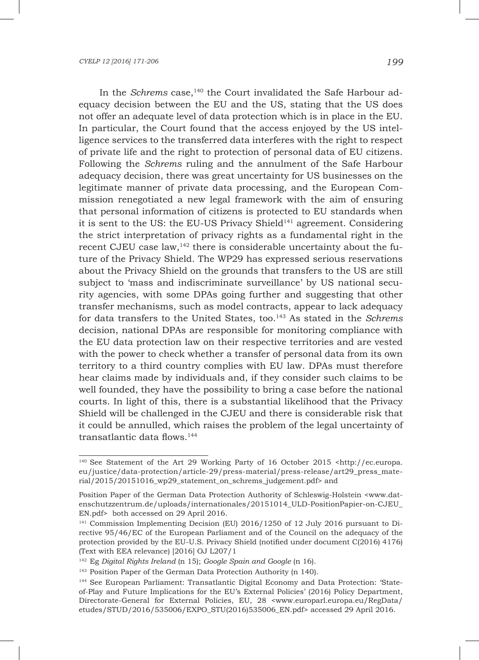In the *Schrems* case,<sup>140</sup> the Court invalidated the Safe Harbour adequacy decision between the EU and the US, stating that the US does not offer an adequate level of data protection which is in place in the EU. In particular, the Court found that the access enjoyed by the US intelligence services to the transferred data interferes with the right to respect of private life and the right to protection of personal data of EU citizens. Following the *Schrems* ruling and the annulment of the Safe Harbour adequacy decision, there was great uncertainty for US businesses on the legitimate manner of private data processing, and the European Commission renegotiated a new legal framework with the aim of ensuring that personal information of citizens is protected to EU standards when it is sent to the US: the EU-US Privacy Shield<sup>141</sup> agreement. Considering the strict interpretation of privacy rights as a fundamental right in the recent CJEU case law,<sup>142</sup> there is considerable uncertainty about the future of the Privacy Shield. The WP29 has expressed serious reservations about the Privacy Shield on the grounds that transfers to the US are still subject to 'mass and indiscriminate surveillance' by US national security agencies, with some DPAs going further and suggesting that other transfer mechanisms, such as model contracts, appear to lack adequacy for data transfers to the United States, too.143 As stated in the *Schrems* decision, national DPAs are responsible for monitoring compliance with the EU data protection law on their respective territories and are vested with the power to check whether a transfer of personal data from its own territory to a third country complies with EU law. DPAs must therefore hear claims made by individuals and, if they consider such claims to be well founded, they have the possibility to bring a case before the national courts. In light of this, there is a substantial likelihood that the Privacy Shield will be challenged in the CJEU and there is considerable risk that it could be annulled, which raises the problem of the legal uncertainty of transatlantic data flows.<sup>144</sup>

<sup>&</sup>lt;sup>140</sup> See Statement of the Art 29 Working Party of 16 October 2015 <http://ec.europa. eu/justice/data-protection/article-29/press-material/press-release/art29\_press\_material/2015/20151016\_wp29\_statement\_on\_schrems\_judgement.pdf> and

Position Paper of the German Data Protection Authority of Schleswig-Holstein <www.datenschutzzentrum.de/uploads/internationales/20151014\_ULD-PositionPapier-on-CJEU\_ EN.pdf> both accessed on 29 April 2016.

<sup>&</sup>lt;sup>141</sup> Commission Implementing Decision (EU) 2016/1250 of 12 July 2016 pursuant to Directive 95/46/EC of the European Parliament and of the Council on the adequacy of the protection provided by the EU-U.S. Privacy Shield (notified under document C(2016) 4176) (Text with EEA relevance) [2016] OJ L207/1

<sup>142</sup> Eg *Digital Rights Ireland* (n 15); *Google Spain and Google* (n 16).

<sup>&</sup>lt;sup>143</sup> Position Paper of the German Data Protection Authority (n 140).

<sup>144</sup> See European Parliament: Transatlantic Digital Economy and Data Protection: 'Stateof-Play and Future Implications for the EU's External Policies' (2016) Policy Department, Directorate-General for External Policies, EU, 28 <www.europarl.europa.eu/RegData/ etudes/STUD/2016/535006/EXPO\_STU(2016)535006\_EN.pdf> accessed 29 April 2016.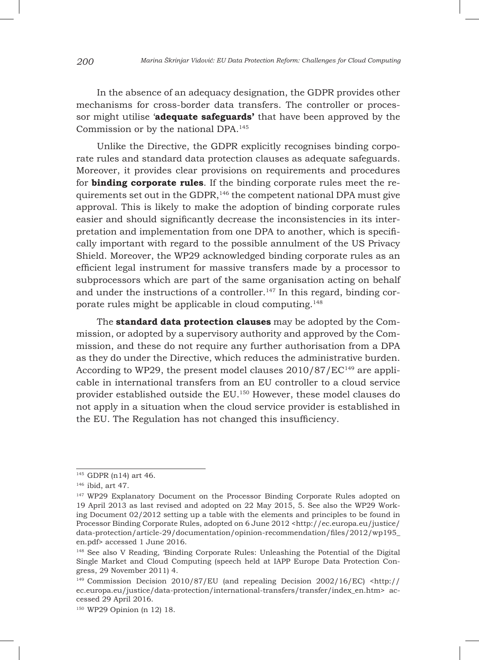In the absence of an adequacy designation, the GDPR provides other mechanisms for cross-border data transfers. The controller or processor might utilise '**adequate safeguards'** that have been approved by the Commission or by the national DPA.145

Unlike the Directive, the GDPR explicitly recognises binding corporate rules and standard data protection clauses as adequate safeguards. Moreover, it provides clear provisions on requirements and procedures for **binding corporate rules**. If the binding corporate rules meet the requirements set out in the GDPR,146 the competent national DPA must give approval. This is likely to make the adoption of binding corporate rules easier and should significantly decrease the inconsistencies in its interpretation and implementation from one DPA to another, which is specifically important with regard to the possible annulment of the US Privacy Shield. Moreover, the WP29 acknowledged binding corporate rules as an efficient legal instrument for massive transfers made by a processor to subprocessors which are part of the same organisation acting on behalf and under the instructions of a controller.<sup>147</sup> In this regard, binding corporate rules might be applicable in cloud computing.148

The **standard data protection clauses** may be adopted by the Commission, or adopted by a supervisory authority and approved by the Commission, and these do not require any further authorisation from a DPA as they do under the Directive, which reduces the administrative burden. According to WP29, the present model clauses  $2010/87/EC^{149}$  are applicable in international transfers from an EU controller to a cloud service provider established outside the EU.150 However, these model clauses do not apply in a situation when the cloud service provider is established in the EU. The Regulation has not changed this insufficiency.

<sup>145</sup> GDPR (n14) art 46.

<sup>146</sup> ibid, art 47.

<sup>&</sup>lt;sup>147</sup> WP29 Explanatory Document on the Processor Binding Corporate Rules adopted on 19 April 2013 as last revised and adopted on 22 May 2015, 5. See also the WP29 Working Document 02/2012 setting up a table with the elements and principles to be found in Processor Binding Corporate Rules, adopted on 6 June 2012 <http://ec.europa.eu/justice/ data-protection/article-29/documentation/opinion-recommendation/files/2012/wp195\_ en.pdf> accessed 1 June 2016.

<sup>148</sup> See also V Reading, 'Binding Corporate Rules: Unleashing the Potential of the Digital Single Market and Cloud Computing (speech held at IAPP Europe Data Protection Congress, 29 November 2011) 4.

<sup>&</sup>lt;sup>149</sup> Commission Decision 2010/87/EU (and repealing Decision 2002/16/EC)  $\lt$ http:// ec.europa.eu/justice/data-protection/international-transfers/transfer/index\_en.htm> accessed 29 April 2016.

<sup>150</sup> WP29 Opinion (n 12) 18.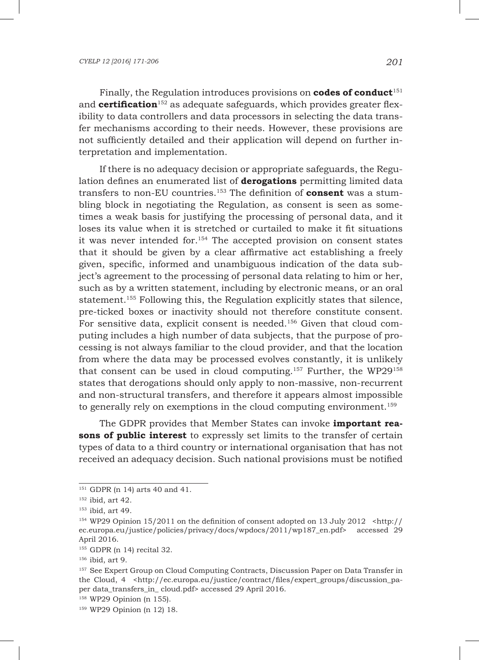Finally, the Regulation introduces provisions on **codes of conduct**<sup>151</sup> and **certification**<sup>152</sup> as adequate safeguards, which provides greater flexibility to data controllers and data processors in selecting the data transfer mechanisms according to their needs. However, these provisions are not sufficiently detailed and their application will depend on further interpretation and implementation.

If there is no adequacy decision or appropriate safeguards, the Regulation defines an enumerated list of **derogations** permitting limited data transfers to non-EU countries.153 The definition of **consent** was a stumbling block in negotiating the Regulation, as consent is seen as sometimes a weak basis for justifying the processing of personal data, and it loses its value when it is stretched or curtailed to make it fit situations it was never intended for.154 The accepted provision on consent states that it should be given by a clear affirmative act establishing a freely given, specific, informed and unambiguous indication of the data subject's agreement to the processing of personal data relating to him or her, such as by a written statement, including by electronic means, or an oral statement.<sup>155</sup> Following this, the Regulation explicitly states that silence, pre-ticked boxes or inactivity should not therefore constitute consent. For sensitive data, explicit consent is needed.156 Given that cloud computing includes a high number of data subjects, that the purpose of processing is not always familiar to the cloud provider, and that the location from where the data may be processed evolves constantly, it is unlikely that consent can be used in cloud computing.<sup>157</sup> Further, the WP29<sup>158</sup> states that derogations should only apply to non-massive, non-recurrent and non-structural transfers, and therefore it appears almost impossible to generally rely on exemptions in the cloud computing environment.<sup>159</sup>

The GDPR provides that Member States can invoke **important reasons of public interest** to expressly set limits to the transfer of certain types of data to a third country or international organisation that has not received an adequacy decision. Such national provisions must be notified

<sup>151</sup> GDPR (n 14) arts 40 and 41.

 $152$  ibid, art 42.

<sup>153</sup> ibid, art 49.

<sup>&</sup>lt;sup>154</sup> WP29 Opinion 15/2011 on the definition of consent adopted on 13 July 2012 <http:// ec.europa.eu/justice/policies/privacy/docs/wpdocs/2011/wp187\_en.pdf> accessed 29 April 2016.

<sup>155</sup> GDPR (n 14) recital 32.

<sup>156</sup> ibid, art 9.

<sup>&</sup>lt;sup>157</sup> See Expert Group on Cloud Computing Contracts, Discussion Paper on Data Transfer in the Cloud, 4 <http://ec.europa.eu/justice/contract/files/expert\_groups/discussion\_paper data\_transfers\_in\_ cloud.pdf> accessed 29 April 2016.

<sup>158</sup> WP29 Opinion (n 155).

<sup>159</sup> WP29 Opinion (n 12) 18.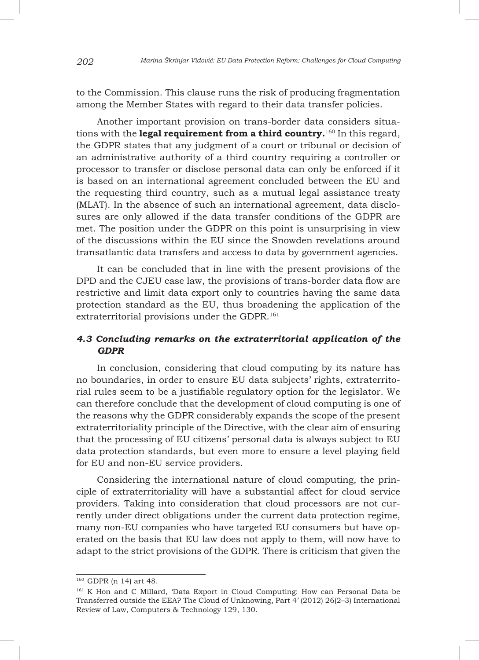to the Commission. This clause runs the risk of producing fragmentation among the Member States with regard to their data transfer policies.

Another important provision on trans-border data considers situations with the **legal requirement from a third country.**<sup>160</sup> In this regard, the GDPR states that any judgment of a court or tribunal or decision of an administrative authority of a third country requiring a controller or processor to transfer or disclose personal data can only be enforced if it is based on an international agreement concluded between the EU and the requesting third country, such as a mutual legal assistance treaty (MLAT). In the absence of such an international agreement, data disclosures are only allowed if the data transfer conditions of the GDPR are met. The position under the GDPR on this point is unsurprising in view of the discussions within the EU since the Snowden revelations around transatlantic data transfers and access to data by government agencies.

It can be concluded that in line with the present provisions of the DPD and the CJEU case law, the provisions of trans-border data flow are restrictive and limit data export only to countries having the same data protection standard as the EU, thus broadening the application of the extraterritorial provisions under the GDPR.<sup>161</sup>

## *4.3 Concluding remarks on the extraterritorial application of the GDPR*

In conclusion, considering that cloud computing by its nature has no boundaries, in order to ensure EU data subjects' rights, extraterritorial rules seem to be a justifiable regulatory option for the legislator. We can therefore conclude that the development of cloud computing is one of the reasons why the GDPR considerably expands the scope of the present extraterritoriality principle of the Directive, with the clear aim of ensuring that the processing of EU citizens' personal data is always subject to EU data protection standards, but even more to ensure a level playing field for EU and non-EU service providers.

Considering the international nature of cloud computing, the principle of extraterritoriality will have a substantial affect for cloud service providers. Taking into consideration that cloud processors are not currently under direct obligations under the current data protection regime, many non-EU companies who have targeted EU consumers but have operated on the basis that EU law does not apply to them, will now have to adapt to the strict provisions of the GDPR. There is criticism that given the

<sup>160</sup> GDPR (n 14) art 48.

<sup>161</sup> K Hon and C Millard, 'Data Export in Cloud Computing: How can Personal Data be Transferred outside the EEA? The Cloud of Unknowing, Part 4' (2012) 26(2–3) International Review of Law, Computers & Technology 129, 130.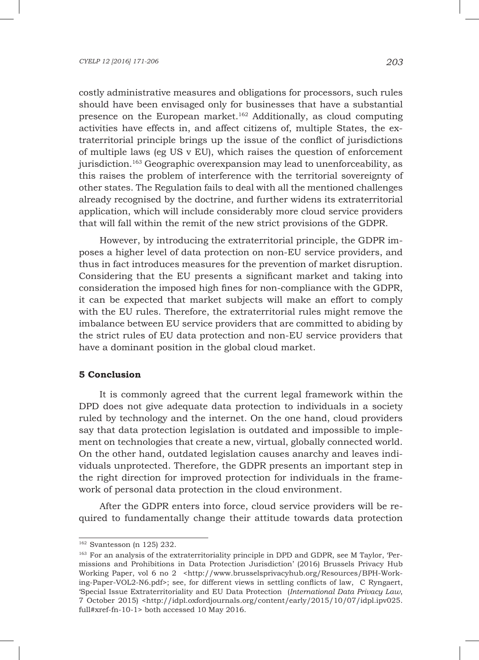costly administrative measures and obligations for processors, such rules should have been envisaged only for businesses that have a substantial presence on the European market.<sup>162</sup> Additionally, as cloud computing activities have effects in, and affect citizens of, multiple States, the extraterritorial principle brings up the issue of the conflict of jurisdictions of multiple laws (eg US v EU), which raises the question of enforcement jurisdiction.<sup>163</sup> Geographic overexpansion may lead to unenforceability, as this raises the problem of interference with the territorial sovereignty of other states. The Regulation fails to deal with all the mentioned challenges already recognised by the doctrine, and further widens its extraterritorial application, which will include considerably more cloud service providers that will fall within the remit of the new strict provisions of the GDPR.

However, by introducing the extraterritorial principle, the GDPR imposes a higher level of data protection on non-EU service providers, and thus in fact introduces measures for the prevention of market disruption. Considering that the EU presents a significant market and taking into consideration the imposed high fines for non-compliance with the GDPR, it can be expected that market subjects will make an effort to comply with the EU rules. Therefore, the extraterritorial rules might remove the imbalance between EU service providers that are committed to abiding by the strict rules of EU data protection and non-EU service providers that have a dominant position in the global cloud market.

#### **5 Conclusion**

It is commonly agreed that the current legal framework within the DPD does not give adequate data protection to individuals in a society ruled by technology and the internet. On the one hand, cloud providers say that data protection legislation is outdated and impossible to implement on technologies that create a new, virtual, globally connected world. On the other hand, outdated legislation causes anarchy and leaves individuals unprotected. Therefore, the GDPR presents an important step in the right direction for improved protection for individuals in the framework of personal data protection in the cloud environment.

After the GDPR enters into force, cloud service providers will be required to fundamentally change their attitude towards data protection

<sup>162</sup> Svantesson (n 125) 232.

<sup>163</sup> For an analysis of the extraterritoriality principle in DPD and GDPR, see M Taylor, 'Permissions and Prohibitions in Data Protection Jurisdiction' (2016) Brussels Privacy Hub Working Paper, vol 6 no 2 <http://www.brusselsprivacyhub.org/Resources/BPH-Working-Paper-VOL2-N6.pdf>; see, for different views in settling conflicts of law, C Ryngaert, 'Special Issue Extraterritoriality and EU Data Protection (*International Data Privacy Law*, 7 October 2015) <http://idpl.oxfordjournals.org/content/early/2015/10/07/idpl.ipv025. full#xref-fn-10-1> both accessed 10 May 2016.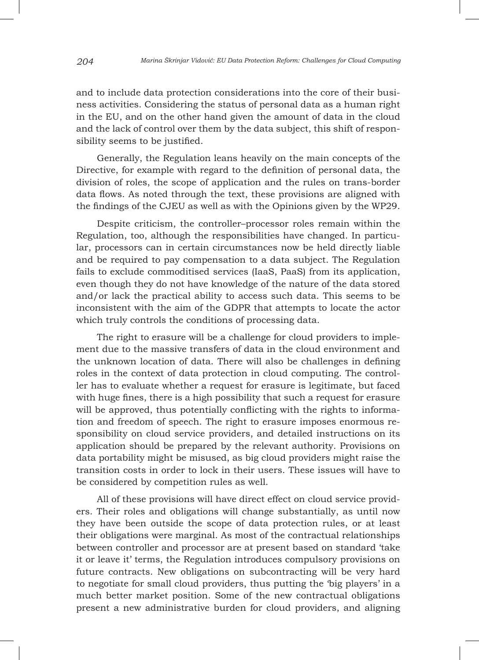and to include data protection considerations into the core of their business activities. Considering the status of personal data as a human right in the EU, and on the other hand given the amount of data in the cloud and the lack of control over them by the data subject, this shift of responsibility seems to be justified.

Generally, the Regulation leans heavily on the main concepts of the Directive, for example with regard to the definition of personal data, the division of roles, the scope of application and the rules on trans-border data flows. As noted through the text, these provisions are aligned with the findings of the CJEU as well as with the Opinions given by the WP29.

Despite criticism, the controller–processor roles remain within the Regulation, too, although the responsibilities have changed. In particular, processors can in certain circumstances now be held directly liable and be required to pay compensation to a data subject. The Regulation fails to exclude commoditised services (IaaS, PaaS) from its application, even though they do not have knowledge of the nature of the data stored and/or lack the practical ability to access such data. This seems to be inconsistent with the aim of the GDPR that attempts to locate the actor which truly controls the conditions of processing data.

The right to erasure will be a challenge for cloud providers to implement due to the massive transfers of data in the cloud environment and the unknown location of data. There will also be challenges in defining roles in the context of data protection in cloud computing. The controller has to evaluate whether a request for erasure is legitimate, but faced with huge fines, there is a high possibility that such a request for erasure will be approved, thus potentially conflicting with the rights to information and freedom of speech. The right to erasure imposes enormous responsibility on cloud service providers, and detailed instructions on its application should be prepared by the relevant authority. Provisions on data portability might be misused, as big cloud providers might raise the transition costs in order to lock in their users. These issues will have to be considered by competition rules as well.

All of these provisions will have direct effect on cloud service providers. Their roles and obligations will change substantially, as until now they have been outside the scope of data protection rules, or at least their obligations were marginal. As most of the contractual relationships between controller and processor are at present based on standard 'take it or leave it' terms, the Regulation introduces compulsory provisions on future contracts. New obligations on subcontracting will be very hard to negotiate for small cloud providers, thus putting the 'big players' in a much better market position. Some of the new contractual obligations present a new administrative burden for cloud providers, and aligning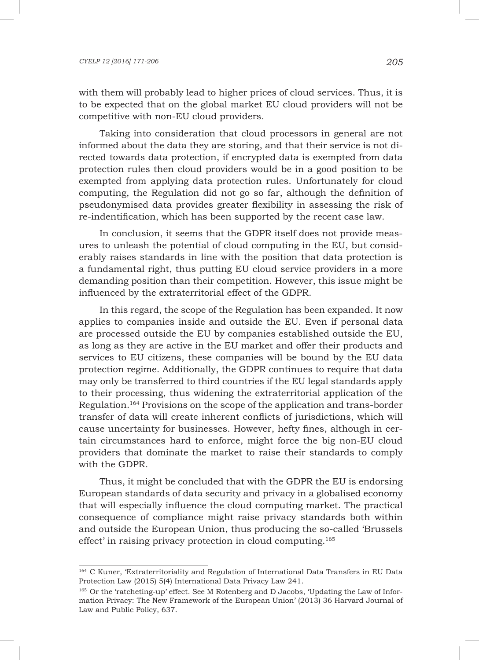with them will probably lead to higher prices of cloud services. Thus, it is to be expected that on the global market EU cloud providers will not be competitive with non-EU cloud providers.

Taking into consideration that cloud processors in general are not informed about the data they are storing, and that their service is not directed towards data protection, if encrypted data is exempted from data protection rules then cloud providers would be in a good position to be exempted from applying data protection rules. Unfortunately for cloud computing, the Regulation did not go so far, although the definition of pseudonymised data provides greater flexibility in assessing the risk of re-indentification, which has been supported by the recent case law.

In conclusion, it seems that the GDPR itself does not provide measures to unleash the potential of cloud computing in the EU, but considerably raises standards in line with the position that data protection is a fundamental right, thus putting EU cloud service providers in a more demanding position than their competition. However, this issue might be influenced by the extraterritorial effect of the GDPR.

In this regard, the scope of the Regulation has been expanded. It now applies to companies inside and outside the EU. Even if personal data are processed outside the EU by companies established outside the EU, as long as they are active in the EU market and offer their products and services to EU citizens, these companies will be bound by the EU data protection regime. Additionally, the GDPR continues to require that data may only be transferred to third countries if the EU legal standards apply to their processing, thus widening the extraterritorial application of the Regulation.164 Provisions on the scope of the application and trans-border transfer of data will create inherent conflicts of jurisdictions, which will cause uncertainty for businesses. However, hefty fines, although in certain circumstances hard to enforce, might force the big non-EU cloud providers that dominate the market to raise their standards to comply with the GDPR.

Thus, it might be concluded that with the GDPR the EU is endorsing European standards of data security and privacy in a globalised economy that will especially influence the cloud computing market. The practical consequence of compliance might raise privacy standards both within and outside the European Union, thus producing the so-called 'Brussels effect' in raising privacy protection in cloud computing.<sup>165</sup>

<sup>164</sup> C Kuner, 'Extraterritoriality and Regulation of International Data Transfers in EU Data Protection Law (2015) 5(4) International Data Privacy Law 241.

<sup>165</sup> Or the 'ratcheting-up' effect. See M Rotenberg and D Jacobs, 'Updating the Law of Information Privacy: The New Framework of the European Union' (2013) 36 Harvard Journal of Law and Public Policy, 637.